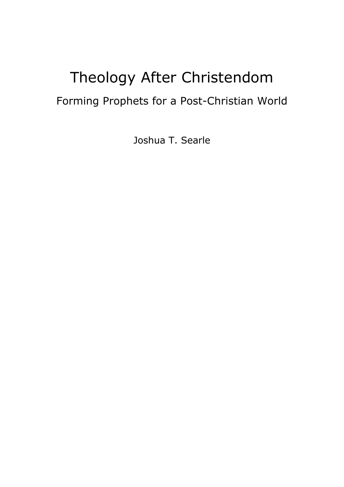# Theology After Christendom

## Forming Prophets for a Post-Christian World

Joshua T. Searle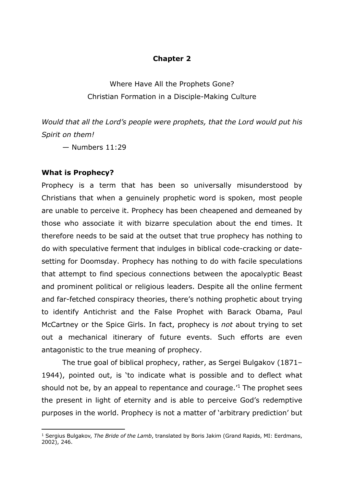#### **Chapter 2**

Where Have All the Prophets Gone? Christian Formation in a Disciple-Making Culture

*Would that all the Lord's people were prophets, that the Lord would put his Spirit on them!*

— Numbers 11:29

#### **What is Prophecy?**

Prophecy is a term that has been so universally misunderstood by Christians that when a genuinely prophetic word is spoken, most people are unable to perceive it. Prophecy has been cheapened and demeaned by those who associate it with bizarre speculation about the end times. It therefore needs to be said at the outset that true prophecy has nothing to do with speculative ferment that indulges in biblical code-cracking or datesetting for Doomsday. Prophecy has nothing to do with facile speculations that attempt to find specious connections between the apocalyptic Beast and prominent political or religious leaders. Despite all the online ferment and far-fetched conspiracy theories, there's nothing prophetic about trying to identify Antichrist and the False Prophet with Barack Obama, Paul McCartney or the Spice Girls. In fact, prophecy is *not* about trying to set out a mechanical itinerary of future events. Such efforts are even antagonistic to the true meaning of prophecy.

The true goal of biblical prophecy, rather, as Sergei Bulgakov (1871– 1944), pointed out, is 'to indicate what is possible and to deflect what should not be, by an appeal to repentance and courage.'1 The prophet sees the present in light of eternity and is able to perceive God's redemptive purposes in the world. Prophecy is not a matter of 'arbitrary prediction' but

<sup>1</sup> Sergius Bulgakov, *The Bride of the Lamb*, translated by Boris Jakim (Grand Rapids, MI: Eerdmans, 2002), 246.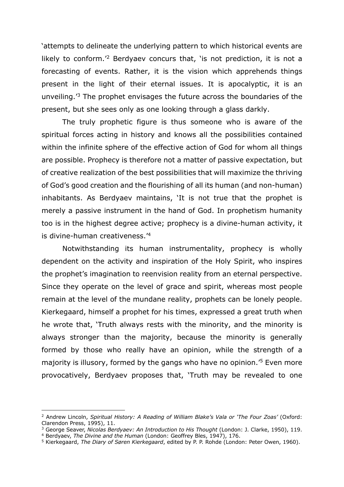'attempts to delineate the underlying pattern to which historical events are likely to conform.'2 Berdyaev concurs that, 'is not prediction, it is not a forecasting of events. Rather, it is the vision which apprehends things present in the light of their eternal issues. It is apocalyptic, it is an unveiling.'3 The prophet envisages the future across the boundaries of the present, but she sees only as one looking through a glass darkly.

The truly prophetic figure is thus someone who is aware of the spiritual forces acting in history and knows all the possibilities contained within the infinite sphere of the effective action of God for whom all things are possible. Prophecy is therefore not a matter of passive expectation, but of creative realization of the best possibilities that will maximize the thriving of God's good creation and the flourishing of all its human (and non-human) inhabitants. As Berdyaev maintains, 'It is not true that the prophet is merely a passive instrument in the hand of God. In prophetism humanity too is in the highest degree active; prophecy is a divine-human activity, it is divine-human creativeness.'4

Notwithstanding its human instrumentality, prophecy is wholly dependent on the activity and inspiration of the Holy Spirit, who inspires the prophet's imagination to reenvision reality from an eternal perspective. Since they operate on the level of grace and spirit, whereas most people remain at the level of the mundane reality, prophets can be lonely people. Kierkegaard, himself a prophet for his times, expressed a great truth when he wrote that, 'Truth always rests with the minority, and the minority is always stronger than the majority, because the minority is generally formed by those who really have an opinion, while the strength of a majority is illusory, formed by the gangs who have no opinion.'5 Even more provocatively, Berdyaev proposes that, 'Truth may be revealed to one

<sup>2</sup> Andrew Lincoln, *Spiritual History: A Reading of William Blake's Vala or 'The Four Zoas'* (Oxford: Clarendon Press, 1995), 11.

<sup>3</sup> George Seaver, *Nicolas Berdyaev: An Introduction to His Thought* (London: J. Clarke, 1950), 119.

<sup>4</sup> Berdyaev, *The Divine and the Human* (London: Geoffrey Bles, 1947), 176.

<sup>5</sup> Kierkegaard, *The Diary of Søren Kierkegaard*, edited by P. P. Rohde (London: Peter Owen, 1960).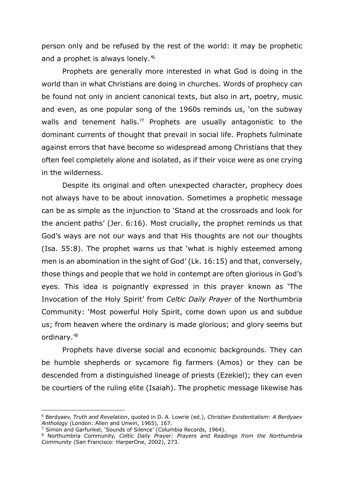person only and be refused by the rest of the world: it may be prophetic and a prophet is always lonely.'6

Prophets are generally more interested in what God is doing in the world than in what Christians are doing in churches. Words of prophecy can be found not only in ancient canonical texts, but also in art, poetry, music and even, as one popular song of the 1960s reminds us, 'on the subway walls and tenement halls.<sup>'7</sup> Prophets are usually antagonistic to the dominant currents of thought that prevail in social life. Prophets fulminate against errors that have become so widespread among Christians that they often feel completely alone and isolated, as if their voice were as one crying in the wilderness.

Despite its original and often unexpected character, prophecy does not always have to be about innovation. Sometimes a prophetic message can be as simple as the injunction to 'Stand at the crossroads and look for the ancient paths' (Jer. 6:16). Most crucially, the prophet reminds us that God's ways are not our ways and that His thoughts are not our thoughts (Isa. 55:8). The prophet warns us that 'what is highly esteemed among men is an abomination in the sight of God' (Lk. 16:15) and that, conversely, those things and people that we hold in contempt are often glorious in God's eyes. This idea is poignantly expressed in this prayer known as 'The Invocation of the Holy Spirit' from *Celtic Daily Prayer* of the Northumbria Community: 'Most powerful Holy Spirit, come down upon us and subdue us; from heaven where the ordinary is made glorious; and glory seems but ordinary.'8

Prophets have diverse social and economic backgrounds. They can be humble shepherds or sycamore fig farmers (Amos) or they can be descended from a distinguished lineage of priests (Ezekiel); they can even be courtiers of the ruling elite (Isaiah). The prophetic message likewise has

<sup>6</sup> Berdyaev, *Truth and Revelation*, quoted in D. A. Lowrie (ed.), *Christian Existentialism: A Berdyaev Anthology* (London: Allen and Unwin, 1965), 167.

<sup>&</sup>lt;sup>7</sup> Simon and Garfunkel, 'Sounds of Silence' (Columbia Records, 1964).

<sup>8</sup> Northumbria Community, *Celtic Daily Prayer: Prayers and Readings from the Northumbria Community* (San Francisco: HarperOne, 2002), 273.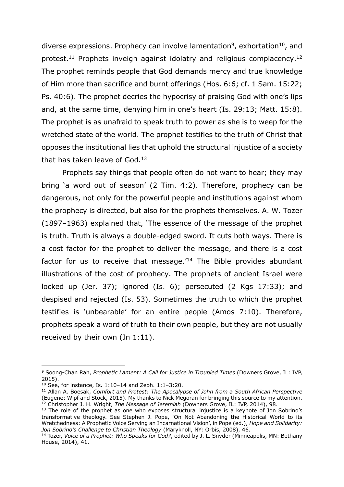diverse expressions. Prophecy can involve lamentation<sup>9</sup>, exhortation<sup>10</sup>, and protest.<sup>11</sup> Prophets inveigh against idolatry and religious complacency.<sup>12</sup> The prophet reminds people that God demands mercy and true knowledge of Him more than sacrifice and burnt offerings (Hos. 6:6; cf. 1 Sam. 15:22; Ps. 40:6). The prophet decries the hypocrisy of praising God with one's lips and, at the same time, denying him in one's heart (Is. 29:13; Matt. 15:8). The prophet is as unafraid to speak truth to power as she is to weep for the wretched state of the world. The prophet testifies to the truth of Christ that opposes the institutional lies that uphold the structural injustice of a society that has taken leave of God.<sup>13</sup>

Prophets say things that people often do not want to hear; they may bring 'a word out of season' (2 Tim. 4:2). Therefore, prophecy can be dangerous, not only for the powerful people and institutions against whom the prophecy is directed, but also for the prophets themselves. A. W. Tozer (1897–1963) explained that, 'The essence of the message of the prophet is truth. Truth is always a double-edged sword. It cuts both ways. There is a cost factor for the prophet to deliver the message, and there is a cost factor for us to receive that message. $14$  The Bible provides abundant illustrations of the cost of prophecy. The prophets of ancient Israel were locked up (Jer. 37); ignored (Is. 6); persecuted (2 Kqs 17:33); and despised and rejected (Is. 53). Sometimes the truth to which the prophet testifies is 'unbearable' for an entire people (Amos 7:10). Therefore, prophets speak a word of truth to their own people, but they are not usually received by their own (Jn 1:11).

<sup>9</sup> Soong-Chan Rah, *Prophetic Lament: A Call for Justice in Troubled Times* (Downers Grove, IL: IVP, 2015).

 $10$  See, for instance, Is. 1:10-14 and Zeph. 1:1-3:20.

<sup>&</sup>lt;sup>11</sup> Allan A. Boesak, *Comfort and Protest: The Apocalypse of John from a South African Perspective* (Eugene: Wipf and Stock, 2015). My thanks to Nick Megoran for bringing this source to my attention. <sup>12</sup> Christopher J. H. Wright, *The Message of Jeremiah* (Downers Grove, IL: IVP, 2014), 98.

 $13$  The role of the prophet as one who exposes structural injustice is a keynote of Jon Sobrino's transformative theology. See Stephen J. Pope, 'On Not Abandoning the Historical World to its Wretchedness: A Prophetic Voice Serving an Incarnational Vision', in Pope (ed.), *Hope and Solidarity: Jon Sobrino's Challenge to Christian Theology* (Maryknoll, NY: Orbis, 2008), 46.

<sup>14</sup> Tozer, *Voice of a Prophet: Who Speaks for God?*, edited by J. L. Snyder (Minneapolis, MN: Bethany House, 2014), 41.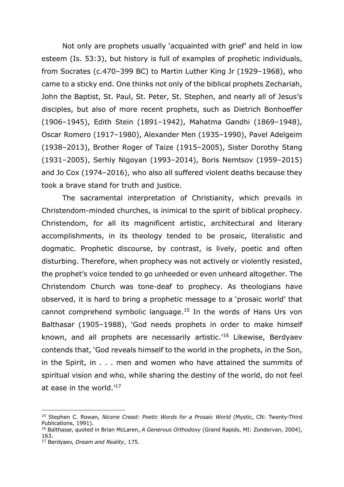Not only are prophets usually 'acquainted with grief' and held in low esteem (Is. 53:3), but history is full of examples of prophetic individuals, from Socrates (c.470–399 BC) to Martin Luther King Jr (1929–1968), who came to a sticky end. One thinks not only of the biblical prophets Zechariah, John the Baptist, St. Paul, St. Peter, St. Stephen, and nearly all of Jesus's disciples, but also of more recent prophets, such as Dietrich Bonhoeffer (1906–1945), Edith Stein (1891–1942), Mahatma Gandhi (1869–1948), Oscar Romero (1917–1980), Alexander Men (1935–1990), Pavel Adelgeim (1938–2013), Brother Roger of Taize (1915–2005), Sister Dorothy Stang (1931–2005), Serhiy Nigoyan (1993–2014), Boris Nemtsov (1959–2015) and Jo Cox (1974–2016), who also all suffered violent deaths because they took a brave stand for truth and justice.

The sacramental interpretation of Christianity, which prevails in Christendom-minded churches, is inimical to the spirit of biblical prophecy. Christendom, for all its magnificent artistic, architectural and literary accomplishments, in its theology tended to be prosaic, literalistic and dogmatic. Prophetic discourse, by contrast, is lively, poetic and often disturbing. Therefore, when prophecy was not actively or violently resisted, the prophet's voice tended to go unheeded or even unheard altogether. The Christendom Church was tone-deaf to prophecy. As theologians have observed, it is hard to bring a prophetic message to a 'prosaic world' that cannot comprehend symbolic language.<sup>15</sup> In the words of Hans Urs von Balthasar (1905–1988), 'God needs prophets in order to make himself known, and all prophets are necessarily artistic.'16 Likewise, Berdyaev contends that, 'God reveals himself to the world in the prophets, in the Son, in the Spirit, in . . . men and women who have attained the summits of spiritual vision and who, while sharing the destiny of the world, do not feel at ease in the world.'17

<sup>15</sup> Stephen C. Rowan, *Nicene Creed: Poetic Words for a Prosaic World* (Mystic, CN: Twenty-Third Publications, 1991).

<sup>16</sup> Balthasar, quoted in Brian McLaren, *A Generous Orthodoxy* (Grand Rapids, MI: Zondervan, 2004), 163.

<sup>17</sup> Berdyaev, *Dream and Reality*, 175.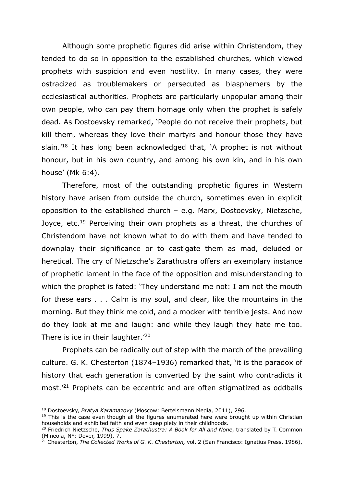Although some prophetic figures did arise within Christendom, they tended to do so in opposition to the established churches, which viewed prophets with suspicion and even hostility. In many cases, they were ostracized as troublemakers or persecuted as blasphemers by the ecclesiastical authorities. Prophets are particularly unpopular among their own people, who can pay them homage only when the prophet is safely dead. As Dostoevsky remarked, 'People do not receive their prophets, but kill them, whereas they love their martyrs and honour those they have slain.'18 It has long been acknowledged that, 'A prophet is not without honour, but in his own country, and among his own kin, and in his own house' (Mk 6:4).

Therefore, most of the outstanding prophetic figures in Western history have arisen from outside the church, sometimes even in explicit opposition to the established church – e.g. Marx, Dostoevsky, Nietzsche, Joyce, etc.<sup>19</sup> Perceiving their own prophets as a threat, the churches of Christendom have not known what to do with them and have tended to downplay their significance or to castigate them as mad, deluded or heretical. The cry of Nietzsche's Zarathustra offers an exemplary instance of prophetic lament in the face of the opposition and misunderstanding to which the prophet is fated: 'They understand me not: I am not the mouth for these ears . . . Calm is my soul, and clear, like the mountains in the morning. But they think me cold, and a mocker with terrible jests. And now do they look at me and laugh: and while they laugh they hate me too. There is ice in their laughter.<sup>'20</sup>

Prophets can be radically out of step with the march of the prevailing culture. G. K. Chesterton (1874–1936) remarked that, 'it is the paradox of history that each generation is converted by the saint who contradicts it most.'21 Prophets can be eccentric and are often stigmatized as oddballs

<sup>18</sup> Dostoevsky, *Bratya Karamazovy* (Moscow: Bertelsmann Media, 2011), 296.

 $19$  This is the case even though all the figures enumerated here were brought up within Christian households and exhibited faith and even deep piety in their childhoods.

<sup>20</sup> Friedrich Nietzsche, *Thus Spake Zarathustra: A Book for All and None*, translated by T. Common (Mineola, NY: Dover, 1999), 7.

<sup>21</sup> Chesterton, *The Collected Works of G. K. Chesterton,* vol. 2 (San Francisco: Ignatius Press, 1986),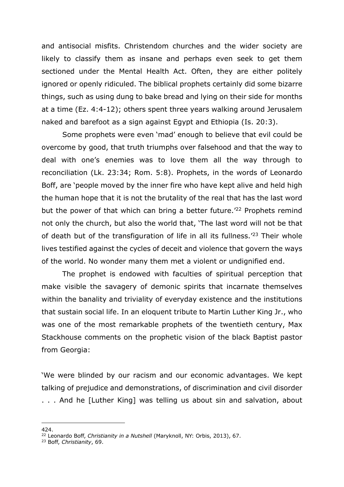and antisocial misfits. Christendom churches and the wider society are likely to classify them as insane and perhaps even seek to get them sectioned under the Mental Health Act. Often, they are either politely ignored or openly ridiculed. The biblical prophets certainly did some bizarre things, such as using dung to bake bread and lying on their side for months at a time (Ez. 4:4-12); others spent three years walking around Jerusalem naked and barefoot as a sign against Egypt and Ethiopia (Is. 20:3).

Some prophets were even 'mad' enough to believe that evil could be overcome by good, that truth triumphs over falsehood and that the way to deal with one's enemies was to love them all the way through to reconciliation (Lk. 23:34; Rom. 5:8). Prophets, in the words of Leonardo Boff, are 'people moved by the inner fire who have kept alive and held high the human hope that it is not the brutality of the real that has the last word but the power of that which can bring a better future.<sup>'22</sup> Prophets remind not only the church, but also the world that, 'The last word will not be that of death but of the transfiguration of life in all its fullness.<sup>'23</sup> Their whole lives testified against the cycles of deceit and violence that govern the ways of the world. No wonder many them met a violent or undignified end.

The prophet is endowed with faculties of spiritual perception that make visible the savagery of demonic spirits that incarnate themselves within the banality and triviality of everyday existence and the institutions that sustain social life. In an eloquent tribute to Martin Luther King Jr., who was one of the most remarkable prophets of the twentieth century, Max Stackhouse comments on the prophetic vision of the black Baptist pastor from Georgia:

'We were blinded by our racism and our economic advantages. We kept talking of prejudice and demonstrations, of discrimination and civil disorder . . . And he [Luther King] was telling us about sin and salvation, about

<sup>424.</sup>

<sup>&</sup>lt;sup>22</sup> Leonardo Boff, *Christianity in a Nutshell* (Maryknoll, NY: Orbis, 2013), 67.

<sup>23</sup> Boff, *Christianity*, 69.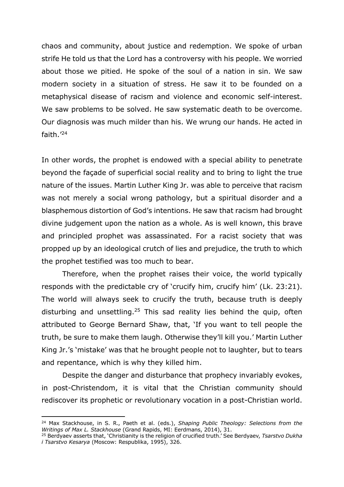chaos and community, about justice and redemption. We spoke of urban strife He told us that the Lord has a controversy with his people. We worried about those we pitied. He spoke of the soul of a nation in sin. We saw modern society in a situation of stress. He saw it to be founded on a metaphysical disease of racism and violence and economic self-interest. We saw problems to be solved. He saw systematic death to be overcome. Our diagnosis was much milder than his. We wrung our hands. He acted in faith.' 24

In other words, the prophet is endowed with a special ability to penetrate beyond the façade of superficial social reality and to bring to light the true nature of the issues. Martin Luther King Jr. was able to perceive that racism was not merely a social wrong pathology, but a spiritual disorder and a blasphemous distortion of God's intentions. He saw that racism had brought divine judgement upon the nation as a whole. As is well known, this brave and principled prophet was assassinated. For a racist society that was propped up by an ideological crutch of lies and prejudice, the truth to which the prophet testified was too much to bear.

Therefore, when the prophet raises their voice, the world typically responds with the predictable cry of 'crucify him, crucify him' (Lk. 23:21). The world will always seek to crucify the truth, because truth is deeply disturbing and unsettling.<sup>25</sup> This sad reality lies behind the quip, often attributed to George Bernard Shaw, that, 'If you want to tell people the truth, be sure to make them laugh. Otherwise they'll kill you.' Martin Luther King Jr.'s 'mistake' was that he brought people not to laughter, but to tears and repentance, which is why they killed him.

Despite the danger and disturbance that prophecy invariably evokes, in post-Christendom, it is vital that the Christian community should rediscover its prophetic or revolutionary vocation in a post-Christian world.

<sup>24</sup> Max Stackhouse, in S. R., Paeth et al. (eds.), *Shaping Public Theology: Selections from the Writings of Max L. Stackhouse* (Grand Rapids, MI: Eerdmans, 2014), 31.

<sup>25</sup> Berdyaev asserts that, 'Christianity is the religion of crucified truth.' See Berdyaev, *Tsarstvo Dukha i Tsarstvo Kesarya* (Moscow: Respublika, 1995), 326.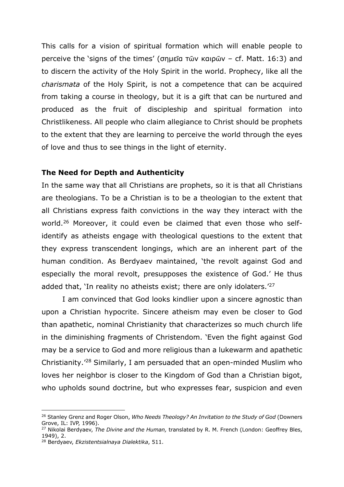This calls for a vision of spiritual formation which will enable people to perceive the 'signs of the times' (σηµεῖα τῶν καιρῶν – cf. Matt. 16:3) and to discern the activity of the Holy Spirit in the world. Prophecy, like all the *charismata* of the Holy Spirit, is not a competence that can be acquired from taking a course in theology, but it is a gift that can be nurtured and produced as the fruit of discipleship and spiritual formation into Christlikeness. All people who claim allegiance to Christ should be prophets to the extent that they are learning to perceive the world through the eyes of love and thus to see things in the light of eternity.

#### **The Need for Depth and Authenticity**

In the same way that all Christians are prophets, so it is that all Christians are theologians. To be a Christian is to be a theologian to the extent that all Christians express faith convictions in the way they interact with the world.26 Moreover, it could even be claimed that even those who selfidentify as atheists engage with theological questions to the extent that they express transcendent longings, which are an inherent part of the human condition. As Berdyaev maintained, 'the revolt against God and especially the moral revolt, presupposes the existence of God.' He thus added that, 'In reality no atheists exist; there are only idolaters.<sup>'27</sup>

I am convinced that God looks kindlier upon a sincere agnostic than upon a Christian hypocrite. Sincere atheism may even be closer to God than apathetic, nominal Christianity that characterizes so much church life in the diminishing fragments of Christendom. 'Even the fight against God may be a service to God and more religious than a lukewarm and apathetic Christianity.'28 Similarly, I am persuaded that an open-minded Muslim who loves her neighbor is closer to the Kingdom of God than a Christian bigot, who upholds sound doctrine, but who expresses fear, suspicion and even

<sup>26</sup> Stanley Grenz and Roger Olson, *Who Needs Theology? An Invitation to the Study of God* (Downers Grove, IL: IVP, 1996).

<sup>27</sup> Nikolai Berdyaev, *The Divine and the Human,* translated by R. M. French (London: Geoffrey Bles, 1949), 2.

<sup>28</sup> Berdyaev, *Ekzistentsialnaya Dialektika*, 511.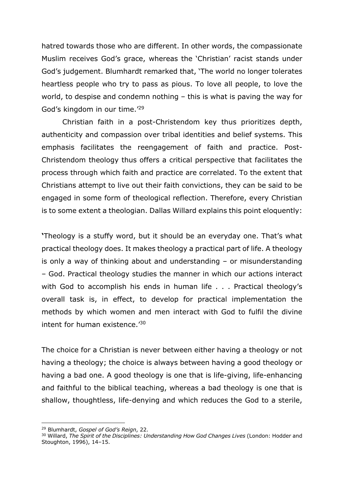hatred towards those who are different. In other words, the compassionate Muslim receives God's grace, whereas the 'Christian' racist stands under God's judgement. Blumhardt remarked that, 'The world no longer tolerates heartless people who try to pass as pious. To love all people, to love the world, to despise and condemn nothing – this is what is paving the way for God's kingdom in our time.'29

Christian faith in a post-Christendom key thus prioritizes depth, authenticity and compassion over tribal identities and belief systems. This emphasis facilitates the reengagement of faith and practice. Post-Christendom theology thus offers a critical perspective that facilitates the process through which faith and practice are correlated. To the extent that Christians attempt to live out their faith convictions, they can be said to be engaged in some form of theological reflection. Therefore, every Christian is to some extent a theologian. Dallas Willard explains this point eloquently:

**'**Theology is a stuffy word, but it should be an everyday one. That's what practical theology does. It makes theology a practical part of life. A theology is only a way of thinking about and understanding – or misunderstanding – God. Practical theology studies the manner in which our actions interact with God to accomplish his ends in human life . . . Practical theology's overall task is, in effect, to develop for practical implementation the methods by which women and men interact with God to fulfil the divine intent for human existence.'30

The choice for a Christian is never between either having a theology or not having a theology; the choice is always between having a good theology or having a bad one. A good theology is one that is life-giving, life-enhancing and faithful to the biblical teaching, whereas a bad theology is one that is shallow, thoughtless, life-denying and which reduces the God to a sterile,

<sup>29</sup> Blumhardt, *Gospel of God's Reign*, 22.

<sup>&</sup>lt;sup>30</sup> Willard, *The Spirit of the Disciplines: Understanding How God Changes Lives* (London: Hodder and Stoughton, 1996), 14–15.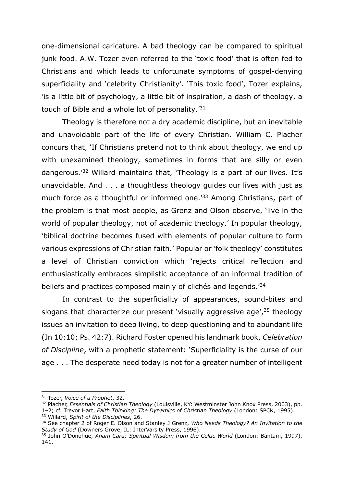one-dimensional caricature. A bad theology can be compared to spiritual junk food. A.W. Tozer even referred to the 'toxic food' that is often fed to Christians and which leads to unfortunate symptoms of gospel-denying superficiality and 'celebrity Christianity'. 'This toxic food', Tozer explains, 'is a little bit of psychology, a little bit of inspiration, a dash of theology, a touch of Bible and a whole lot of personality.'31

Theology is therefore not a dry academic discipline, but an inevitable and unavoidable part of the life of every Christian. William C. Placher concurs that, 'If Christians pretend not to think about theology, we end up with unexamined theology, sometimes in forms that are silly or even dangerous.'32 Willard maintains that, 'Theology is a part of our lives. It's unavoidable. And . . . a thoughtless theology guides our lives with just as much force as a thoughtful or informed one.<sup>'33</sup> Among Christians, part of the problem is that most people, as Grenz and Olson observe, 'live in the world of popular theology, not of academic theology.' In popular theology, 'biblical doctrine becomes fused with elements of popular culture to form various expressions of Christian faith.' Popular or 'folk theology' constitutes a level of Christian conviction which 'rejects critical reflection and enthusiastically embraces simplistic acceptance of an informal tradition of beliefs and practices composed mainly of clichés and legends.'34

In contrast to the superficiality of appearances, sound-bites and slogans that characterize our present 'visually aggressive age', $35$  theology issues an invitation to deep living, to deep questioning and to abundant life (Jn 10:10; Ps. 42:7). Richard Foster opened his landmark book, *Celebration of Discipline*, with a prophetic statement: 'Superficiality is the curse of our age . . . The desperate need today is not for a greater number of intelligent

<sup>31</sup> Tozer, *Voice of a Prophet*, 32.

<sup>32</sup> Placher, *Essentials of Christian Theology* (Louisville, KY: Westminster John Knox Press, 2003), pp. 1–2; cf. Trevor Hart, *Faith Thinking: The Dynamics of Christian Theology* (London: SPCK, 1995).

<sup>33</sup> Willard, *Spirit of the Disciplines*, 26.

<sup>34</sup> See chapter 2 of Roger E. Olson and Stanley J Grenz, *Who Needs Theology? An Invitation to the Study of God* (Downers Grove, IL: InterVarsity Press, 1996).

<sup>35</sup> John O'Donohue, *Anam Cara: Spiritual Wisdom from the Celtic World* (London: Bantam, 1997), 141.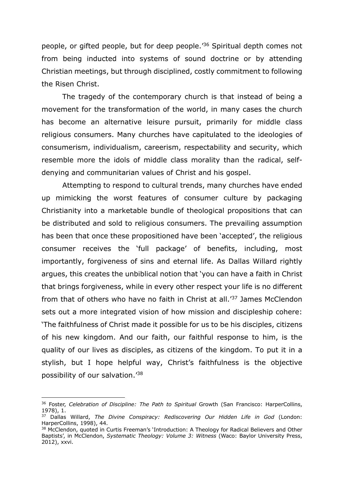people, or gifted people, but for deep people.'36 Spiritual depth comes not from being inducted into systems of sound doctrine or by attending Christian meetings, but through disciplined, costly commitment to following the Risen Christ.

The tragedy of the contemporary church is that instead of being a movement for the transformation of the world, in many cases the church has become an alternative leisure pursuit, primarily for middle class religious consumers. Many churches have capitulated to the ideologies of consumerism, individualism, careerism, respectability and security, which resemble more the idols of middle class morality than the radical, selfdenying and communitarian values of Christ and his gospel.

Attempting to respond to cultural trends, many churches have ended up mimicking the worst features of consumer culture by packaging Christianity into a marketable bundle of theological propositions that can be distributed and sold to religious consumers. The prevailing assumption has been that once these propositioned have been 'accepted', the religious consumer receives the 'full package' of benefits, including, most importantly, forgiveness of sins and eternal life. As Dallas Willard rightly argues, this creates the unbiblical notion that 'you can have a faith in Christ that brings forgiveness, while in every other respect your life is no different from that of others who have no faith in Christ at all.'37 James McClendon sets out a more integrated vision of how mission and discipleship cohere: 'The faithfulness of Christ made it possible for us to be his disciples, citizens of his new kingdom. And our faith, our faithful response to him, is the quality of our lives as disciples, as citizens of the kingdom. To put it in a stylish, but I hope helpful way, Christ's faithfulness is the objective possibility of our salvation.'38

<sup>&</sup>lt;sup>36</sup> Foster, *Celebration of Discipline: The Path to Spiritual* Growth (San Francisco: HarperCollins, 1978), 1.

<sup>37</sup> Dallas Willard, *The Divine Conspiracy: Rediscovering Our Hidden Life in God* (London: HarperCollins, 1998), 44.

<sup>38</sup> McClendon, quoted in Curtis Freeman's 'Introduction: A Theology for Radical Believers and Other Baptists', in McClendon, *Systematic Theology: Volume 3: Witness* (Waco: Baylor University Press, 2012), xxvi.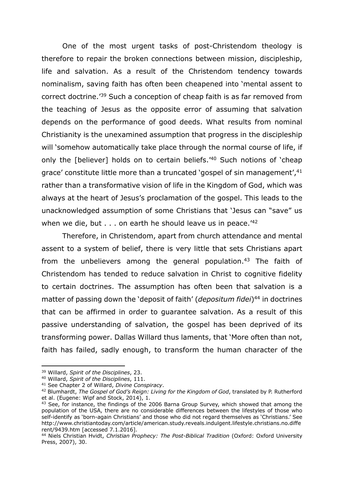One of the most urgent tasks of post-Christendom theology is therefore to repair the broken connections between mission, discipleship, life and salvation. As a result of the Christendom tendency towards nominalism, saving faith has often been cheapened into 'mental assent to correct doctrine.'39 Such a conception of cheap faith is as far removed from the teaching of Jesus as the opposite error of assuming that salvation depends on the performance of good deeds. What results from nominal Christianity is the unexamined assumption that progress in the discipleship will 'somehow automatically take place through the normal course of life, if only the [believer] holds on to certain beliefs.'40 Such notions of 'cheap grace' constitute little more than a truncated 'gospel of sin management', <sup>41</sup> rather than a transformative vision of life in the Kingdom of God, which was always at the heart of Jesus's proclamation of the gospel. This leads to the unacknowledged assumption of some Christians that 'Jesus can "save" us when we die, but  $\ldots$  on earth he should leave us in peace.<sup>'42</sup>

Therefore, in Christendom, apart from church attendance and mental assent to a system of belief, there is very little that sets Christians apart from the unbelievers among the general population.<sup>43</sup> The faith of Christendom has tended to reduce salvation in Christ to cognitive fidelity to certain doctrines. The assumption has often been that salvation is a matter of passing down the 'deposit of faith' (*depositum fidei*)<sup>44</sup> in doctrines that can be affirmed in order to guarantee salvation. As a result of this passive understanding of salvation, the gospel has been deprived of its transforming power. Dallas Willard thus laments, that 'More often than not, faith has failed, sadly enough, to transform the human character of the

<sup>39</sup> Willard, *Spirit of the Disciplines*, 23.

<sup>40</sup> Willard, *Spirit of the Disciplines*, 111.

<sup>41</sup> See Chapter 2 of Willard, *Divine Conspiracy*.

<sup>42</sup> Blumhardt, *The Gospel of God's Reign: Living for the Kingdom of God*, translated by P. Rutherford et al. (Eugene: Wipf and Stock, 2014), 1.

 $43$  See, for instance, the findings of the 2006 Barna Group Survey, which showed that among the population of the USA, there are no considerable differences between the lifestyles of those who self-identify as 'born-again Christians' and those who did not regard themselves as 'Christians.' See http://www.christiantoday.com/article/american.study.reveals.indulgent.lifestyle.christians.no.diffe rent/9439.htm [accessed 7.1.2016].

<sup>44</sup> Niels Christian Hvidt, *Christian Prophecy: The Post-Biblical Tradition* (Oxford: Oxford University Press, 2007), 30.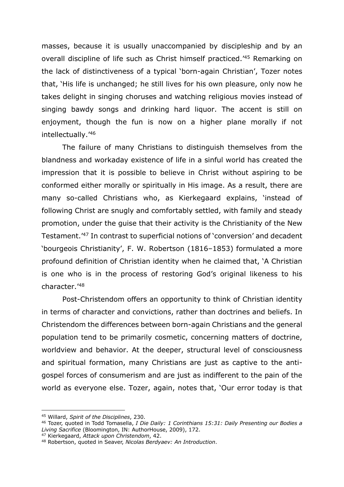masses, because it is usually unaccompanied by discipleship and by an overall discipline of life such as Christ himself practiced.'45 Remarking on the lack of distinctiveness of a typical 'born-again Christian', Tozer notes that, 'His life is unchanged; he still lives for his own pleasure, only now he takes delight in singing choruses and watching religious movies instead of singing bawdy songs and drinking hard liquor. The accent is still on enjoyment, though the fun is now on a higher plane morally if not intellectually.'46

The failure of many Christians to distinguish themselves from the blandness and workaday existence of life in a sinful world has created the impression that it is possible to believe in Christ without aspiring to be conformed either morally or spiritually in His image. As a result, there are many so-called Christians who, as Kierkegaard explains, 'instead of following Christ are snugly and comfortably settled, with family and steady promotion, under the guise that their activity is the Christianity of the New Testament.'47 In contrast to superficial notions of 'conversion' and decadent 'bourgeois Christianity', F. W. Robertson (1816–1853) formulated a more profound definition of Christian identity when he claimed that, 'A Christian is one who is in the process of restoring God's original likeness to his character.'48

Post-Christendom offers an opportunity to think of Christian identity in terms of character and convictions, rather than doctrines and beliefs. In Christendom the differences between born-again Christians and the general population tend to be primarily cosmetic, concerning matters of doctrine, worldview and behavior. At the deeper, structural level of consciousness and spiritual formation, many Christians are just as captive to the antigospel forces of consumerism and are just as indifferent to the pain of the world as everyone else. Tozer, again, notes that, 'Our error today is that

<sup>45</sup> Willard, *Spirit of the Disciplines*, 230.

<sup>46</sup> Tozer, quoted in Todd Tomasella, *I Die Daily: 1 Corinthians 15:31: Daily Presenting our Bodies a Living Sacrifice* (Bloomington, IN: AuthorHouse, 2009), 172.

<sup>47</sup> Kierkegaard, *Attack upon Christendom*, 42.

<sup>48</sup> Robertson, quoted in Seaver, *Nicolas Berdyaev: An Introduction*.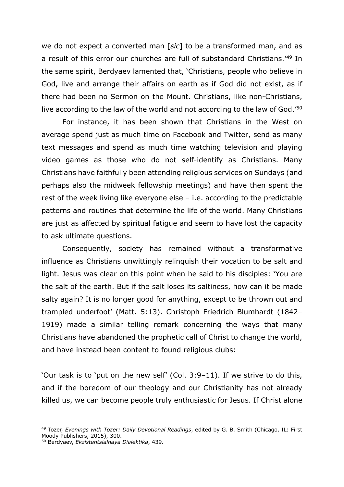we do not expect a converted man [*sic*] to be a transformed man, and as a result of this error our churches are full of substandard Christians.'49 In the same spirit, Berdyaev lamented that, 'Christians, people who believe in God, live and arrange their affairs on earth as if God did not exist, as if there had been no Sermon on the Mount. Christians, like non-Christians, live according to the law of the world and not according to the law of God.'50

For instance, it has been shown that Christians in the West on average spend just as much time on Facebook and Twitter, send as many text messages and spend as much time watching television and playing video games as those who do not self-identify as Christians. Many Christians have faithfully been attending religious services on Sundays (and perhaps also the midweek fellowship meetings) and have then spent the rest of the week living like everyone else – i.e. according to the predictable patterns and routines that determine the life of the world. Many Christians are just as affected by spiritual fatigue and seem to have lost the capacity to ask ultimate questions.

Consequently, society has remained without a transformative influence as Christians unwittingly relinquish their vocation to be salt and light. Jesus was clear on this point when he said to his disciples: 'You are the salt of the earth. But if the salt loses its saltiness, how can it be made salty again? It is no longer good for anything, except to be thrown out and trampled underfoot' (Matt. 5:13). Christoph Friedrich Blumhardt (1842– 1919) made a similar telling remark concerning the ways that many Christians have abandoned the prophetic call of Christ to change the world, and have instead been content to found religious clubs:

'Our task is to 'put on the new self' (Col. 3:9–11). If we strive to do this, and if the boredom of our theology and our Christianity has not already killed us, we can become people truly enthusiastic for Jesus. If Christ alone

<sup>49</sup> Tozer, *Evenings with Tozer: Daily Devotional Readings*, edited by G. B. Smith (Chicago, IL: First Moody Publishers, 2015), 300.

<sup>50</sup> Berdyaev, *Ekzistentsialnaya Dialektika*, 439.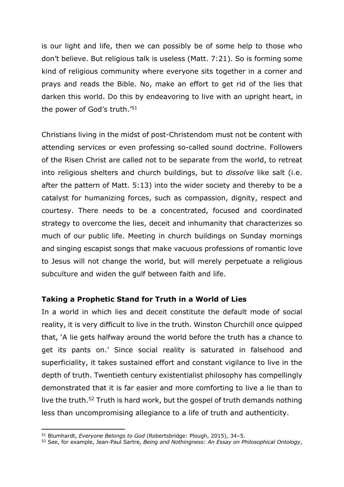is our light and life, then we can possibly be of some help to those who don't believe. But religious talk is useless (Matt. 7:21). So is forming some kind of religious community where everyone sits together in a corner and prays and reads the Bible. No, make an effort to get rid of the lies that darken this world. Do this by endeavoring to live with an upright heart, in the power of God's truth.'<sup>51</sup>

Christians living in the midst of post-Christendom must not be content with attending services or even professing so-called sound doctrine. Followers of the Risen Christ are called not to be separate from the world, to retreat into religious shelters and church buildings, but to *dissolve* like salt (i.e. after the pattern of Matt. 5:13) into the wider society and thereby to be a catalyst for humanizing forces, such as compassion, dignity, respect and courtesy. There needs to be a concentrated, focused and coordinated strategy to overcome the lies, deceit and inhumanity that characterizes so much of our public life. Meeting in church buildings on Sunday mornings and singing escapist songs that make vacuous professions of romantic love to Jesus will not change the world, but will merely perpetuate a religious subculture and widen the gulf between faith and life.

#### **Taking a Prophetic Stand for Truth in a World of Lies**

In a world in which lies and deceit constitute the default mode of social reality, it is very difficult to live in the truth. Winston Churchill once quipped that, 'A lie gets halfway around the world before the truth has a chance to get its pants on.' Since social reality is saturated in falsehood and superficiality, it takes sustained effort and constant vigilance to live in the depth of truth. Twentieth century existentialist philosophy has compellingly demonstrated that it is far easier and more comforting to live a lie than to live the truth.52 Truth is hard work, but the gospel of truth demands nothing less than uncompromising allegiance to a life of truth and authenticity.

<sup>51</sup> Blumhardt, *Everyone Belongs to God* (Robertsbridge: Plough, 2015), 34–5.

<sup>52</sup> See, for example, Jean-Paul Sartre, *Being and Nothingness: An Essay on Philosophical Ontology*,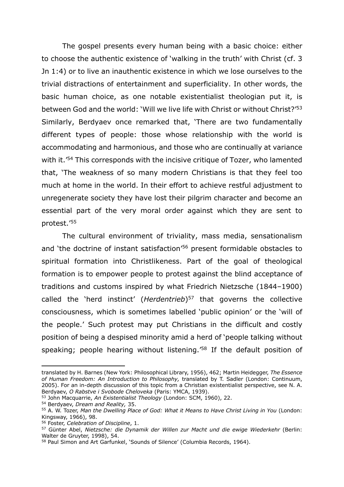The gospel presents every human being with a basic choice: either to choose the authentic existence of 'walking in the truth' with Christ (cf. 3 Jn 1:4) or to live an inauthentic existence in which we lose ourselves to the trivial distractions of entertainment and superficiality. In other words, the basic human choice, as one notable existentialist theologian put it, is between God and the world: 'Will we live life with Christ or without Christ?'53 Similarly, Berdyaev once remarked that, 'There are two fundamentally different types of people: those whose relationship with the world is accommodating and harmonious, and those who are continually at variance with it.<sup>'54</sup> This corresponds with the incisive critique of Tozer, who lamented that, 'The weakness of so many modern Christians is that they feel too much at home in the world. In their effort to achieve restful adjustment to unregenerate society they have lost their pilgrim character and become an essential part of the very moral order against which they are sent to protest.'55

The cultural environment of triviality, mass media, sensationalism and 'the doctrine of instant satisfaction'<sup>56</sup> present formidable obstacles to spiritual formation into Christlikeness. Part of the goal of theological formation is to empower people to protest against the blind acceptance of traditions and customs inspired by what Friedrich Nietzsche (1844–1900) called the 'herd instinct' (*Herdentrieb*)<sup>57</sup> that governs the collective consciousness, which is sometimes labelled 'public opinion' or the 'will of the people.' Such protest may put Christians in the difficult and costly position of being a despised minority amid a herd of 'people talking without speaking; people hearing without listening.<sup>'58</sup> If the default position of

translated by H. Barnes (New York: Philosophical Library, 1956), 462; Martin Heidegger, *The Essence of Human Freedom: An Introduction to Philosophy,* translated by T. Sadler (London: Continuum, 2005). For an in-depth discussion of this topic from a Christian existentialist perspective, see N. A. Berdyaev, *O Rabstve i Svobode Cheloveka* (Paris: YMCA, 1939).

<sup>53</sup> John Macquarrie, *An Existentialist Theology* (London: SCM, 1960), 22.

<sup>54</sup> Berdyaev, *Dream and Reality,* 35.

<sup>55</sup> A. W. Tozer, *Man the Dwelling Place of God: What it Means to Have Christ Living in You* (London: Kingsway, 1966), 98.

<sup>56</sup> Foster, *Celebration of Discipline*, 1.

<sup>&</sup>lt;sup>57</sup> Günter Abel, Nietzsche: die Dynamik der Willen zur Macht und die ewige Wiederkehr (Berlin: Walter de Gruyter, 1998), 54.

<sup>58</sup> Paul Simon and Art Garfunkel, `Sounds of Silence' (Columbia Records, 1964).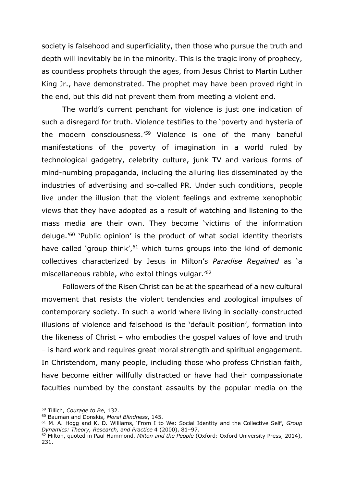society is falsehood and superficiality, then those who pursue the truth and depth will inevitably be in the minority. This is the tragic irony of prophecy, as countless prophets through the ages, from Jesus Christ to Martin Luther King Jr., have demonstrated. The prophet may have been proved right in the end, but this did not prevent them from meeting a violent end.

The world's current penchant for violence is just one indication of such a disregard for truth. Violence testifies to the 'poverty and hysteria of the modern consciousness.'59 Violence is one of the many baneful manifestations of the poverty of imagination in a world ruled by technological gadgetry, celebrity culture, junk TV and various forms of mind-numbing propaganda, including the alluring lies disseminated by the industries of advertising and so-called PR. Under such conditions, people live under the illusion that the violent feelings and extreme xenophobic views that they have adopted as a result of watching and listening to the mass media are their own. They become 'victims of the information deluge.'60 'Public opinion' is the product of what social identity theorists have called 'group think',<sup>61</sup> which turns groups into the kind of demonic collectives characterized by Jesus in Milton's *Paradise Regained* as 'a miscellaneous rabble, who extol things vulgar.' 62

Followers of the Risen Christ can be at the spearhead of a new cultural movement that resists the violent tendencies and zoological impulses of contemporary society. In such a world where living in socially-constructed illusions of violence and falsehood is the 'default position', formation into the likeness of Christ – who embodies the gospel values of love and truth – is hard work and requires great moral strength and spiritual engagement. In Christendom, many people, including those who profess Christian faith, have become either willfully distracted or have had their compassionate faculties numbed by the constant assaults by the popular media on the

<sup>59</sup> Tillich, *Courage to Be*, 132.

<sup>60</sup> Bauman and Donskis, *Moral Blindness*, 145.

<sup>61</sup> M. A. Hogg and K. D. Williams, 'From I to We: Social Identity and the Collective Self', *Group Dynamics: Theory, Research, and Practice* 4 (2000), 81–97.

<sup>62</sup> Milton, quoted in Paul Hammond, *Milton and the People* (Oxford: Oxford University Press, 2014), 231.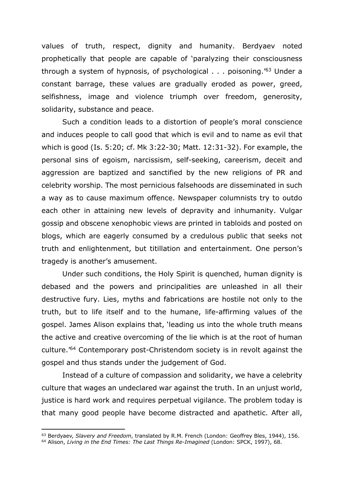values of truth, respect, dignity and humanity. Berdyaev noted prophetically that people are capable of 'paralyzing their consciousness through a system of hypnosis, of psychological  $\ldots$  poisoning.<sup>'63</sup> Under a constant barrage, these values are gradually eroded as power, greed, selfishness, image and violence triumph over freedom, generosity, solidarity, substance and peace.

Such a condition leads to a distortion of people's moral conscience and induces people to call good that which is evil and to name as evil that which is good (Is. 5:20; cf. Mk 3:22-30; Matt. 12:31-32). For example, the personal sins of egoism, narcissism, self-seeking, careerism, deceit and aggression are baptized and sanctified by the new religions of PR and celebrity worship. The most pernicious falsehoods are disseminated in such a way as to cause maximum offence. Newspaper columnists try to outdo each other in attaining new levels of depravity and inhumanity. Vulgar gossip and obscene xenophobic views are printed in tabloids and posted on blogs, which are eagerly consumed by a credulous public that seeks not truth and enlightenment, but titillation and entertainment. One person's tragedy is another's amusement.

Under such conditions, the Holy Spirit is quenched, human dignity is debased and the powers and principalities are unleashed in all their destructive fury. Lies, myths and fabrications are hostile not only to the truth, but to life itself and to the humane, life-affirming values of the gospel. James Alison explains that, 'leading us into the whole truth means the active and creative overcoming of the lie which is at the root of human culture.'64 Contemporary post-Christendom society is in revolt against the gospel and thus stands under the judgement of God.

Instead of a culture of compassion and solidarity, we have a celebrity culture that wages an undeclared war against the truth. In an unjust world, justice is hard work and requires perpetual vigilance. The problem today is that many good people have become distracted and apathetic. After all,

<sup>63</sup> Berdyaev, *Slavery and Freedom*, translated by R.M. French (London: Geoffrey Bles, 1944), 156.

<sup>64</sup> Alison, *Living in the End Times: The Last Things Re-Imagined* (London: SPCK, 1997), 68.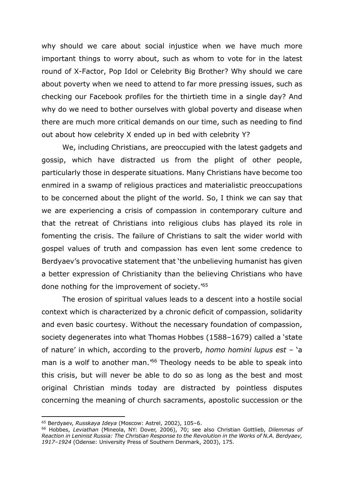why should we care about social injustice when we have much more important things to worry about, such as whom to vote for in the latest round of X-Factor, Pop Idol or Celebrity Big Brother? Why should we care about poverty when we need to attend to far more pressing issues, such as checking our Facebook profiles for the thirtieth time in a single day? And why do we need to bother ourselves with global poverty and disease when there are much more critical demands on our time, such as needing to find out about how celebrity X ended up in bed with celebrity Y?

We, including Christians, are preoccupied with the latest gadgets and gossip, which have distracted us from the plight of other people, particularly those in desperate situations. Many Christians have become too enmired in a swamp of religious practices and materialistic preoccupations to be concerned about the plight of the world. So, I think we can say that we are experiencing a crisis of compassion in contemporary culture and that the retreat of Christians into religious clubs has played its role in fomenting the crisis. The failure of Christians to salt the wider world with gospel values of truth and compassion has even lent some credence to Berdyaev's provocative statement that 'the unbelieving humanist has given a better expression of Christianity than the believing Christians who have done nothing for the improvement of society.'65

The erosion of spiritual values leads to a descent into a hostile social context which is characterized by a chronic deficit of compassion, solidarity and even basic courtesy. Without the necessary foundation of compassion, society degenerates into what Thomas Hobbes (1588–1679) called a 'state of nature' in which, according to the proverb, *homo homini lupus est* – 'a man is a wolf to another man.<sup>'66</sup> Theology needs to be able to speak into this crisis, but will never be able to do so as long as the best and most original Christian minds today are distracted by pointless disputes concerning the meaning of church sacraments, apostolic succession or the

<sup>65</sup> Berdyaev, *Russkaya Ideya* (Moscow: Astrel, 2002), 105–6.

<sup>66</sup> Hobbes, *Leviathan* (Mineola, NY: Dover, 2006), 70; see also Christian Gottlieb, *Dilemmas of Reaction in Leninist Russia: The Christian Response to the Revolution in the Works of N.A. Berdyaev, 1917–1924* (Odense: University Press of Southern Denmark, 2003), 175.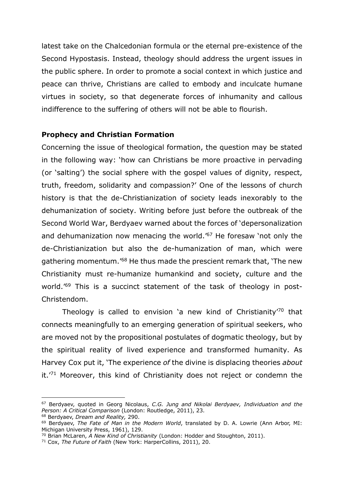latest take on the Chalcedonian formula or the eternal pre-existence of the Second Hypostasis. Instead, theology should address the urgent issues in the public sphere. In order to promote a social context in which justice and peace can thrive, Christians are called to embody and inculcate humane virtues in society, so that degenerate forces of inhumanity and callous indifference to the suffering of others will not be able to flourish.

#### **Prophecy and Christian Formation**

Concerning the issue of theological formation, the question may be stated in the following way: 'how can Christians be more proactive in pervading (or 'salting') the social sphere with the gospel values of dignity, respect, truth, freedom, solidarity and compassion?' One of the lessons of church history is that the de-Christianization of society leads inexorably to the dehumanization of society. Writing before just before the outbreak of the Second World War, Berdyaev warned about the forces of 'depersonalization and dehumanization now menacing the world.'67 He foresaw 'not only the de-Christianization but also the de-humanization of man, which were gathering momentum.'68 He thus made the prescient remark that, 'The new Christianity must re-humanize humankind and society, culture and the world.<sup>'69</sup> This is a succinct statement of the task of theology in post-Christendom.

Theology is called to envision 'a new kind of Christianity'70 that connects meaningfully to an emerging generation of spiritual seekers, who are moved not by the propositional postulates of dogmatic theology, but by the spiritual reality of lived experience and transformed humanity. As Harvey Cox put it, 'The experience *of* the divine is displacing theories *about* it. $71$  Moreover, this kind of Christianity does not reject or condemn the

<sup>67</sup> Berdyaev, quoted in Georg Nicolaus, *C.G. Jung and Nikolai Berdyaev, Individuation and the Person: A Critical Comparison* (London: Routledge, 2011), 23.

<sup>68</sup> Berdyaev, *Dream and Reality,* 290.

<sup>69</sup> Berdyaev, *The Fate of Man in the Modern World*, translated by D. A. Lowrie (Ann Arbor, MI: Michigan University Press, 1961), 129.

<sup>70</sup> Brian McLaren, *A New Kind of Christianity* (London: Hodder and Stoughton, 2011).

<sup>71</sup> Cox, *The Future of Faith* (New York: HarperCollins, 2011), 20.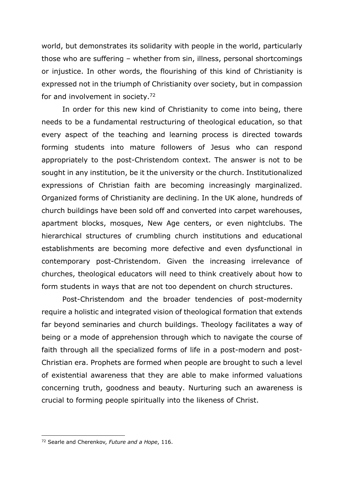world, but demonstrates its solidarity with people in the world, particularly those who are suffering – whether from sin, illness, personal shortcomings or injustice. In other words, the flourishing of this kind of Christianity is expressed not in the triumph of Christianity over society, but in compassion for and involvement in society.72

In order for this new kind of Christianity to come into being, there needs to be a fundamental restructuring of theological education, so that every aspect of the teaching and learning process is directed towards forming students into mature followers of Jesus who can respond appropriately to the post-Christendom context. The answer is not to be sought in any institution, be it the university or the church. Institutionalized expressions of Christian faith are becoming increasingly marginalized. Organized forms of Christianity are declining. In the UK alone, hundreds of church buildings have been sold off and converted into carpet warehouses, apartment blocks, mosques, New Age centers, or even nightclubs. The hierarchical structures of crumbling church institutions and educational establishments are becoming more defective and even dysfunctional in contemporary post-Christendom. Given the increasing irrelevance of churches, theological educators will need to think creatively about how to form students in ways that are not too dependent on church structures.

Post-Christendom and the broader tendencies of post-modernity require a holistic and integrated vision of theological formation that extends far beyond seminaries and church buildings. Theology facilitates a way of being or a mode of apprehension through which to navigate the course of faith through all the specialized forms of life in a post-modern and post-Christian era. Prophets are formed when people are brought to such a level of existential awareness that they are able to make informed valuations concerning truth, goodness and beauty. Nurturing such an awareness is crucial to forming people spiritually into the likeness of Christ.

<sup>72</sup> Searle and Cherenkov, *Future and a Hope*, 116.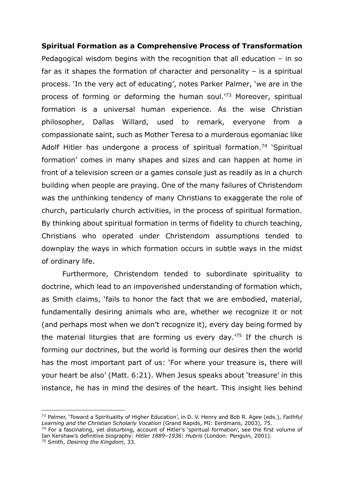### **Spiritual Formation as a Comprehensive Process of Transformation** Pedagogical wisdom begins with the recognition that all education – in so far as it shapes the formation of character and personality  $-$  is a spiritual process. 'In the very act of educating', notes Parker Palmer, 'we are in the process of forming or deforming the human soul.'73 Moreover, spiritual formation is a universal human experience. As the wise Christian philosopher, Dallas Willard, used to remark, everyone from a compassionate saint, such as Mother Teresa to a murderous egomaniac like Adolf Hitler has undergone a process of spiritual formation.<sup>74</sup> 'Spiritual formation' comes in many shapes and sizes and can happen at home in front of a television screen or a games console just as readily as in a church building when people are praying. One of the many failures of Christendom was the unthinking tendency of many Christians to exaggerate the role of church, particularly church activities, in the process of spiritual formation. By thinking about spiritual formation in terms of fidelity to church teaching, Christians who operated under Christendom assumptions tended to downplay the ways in which formation occurs in subtle ways in the midst of ordinary life.

Furthermore, Christendom tended to subordinate spirituality to doctrine, which lead to an impoverished understanding of formation which, as Smith claims, 'fails to honor the fact that we are embodied, material, fundamentally desiring animals who are, whether we recognize it or not (and perhaps most when we don't recognize it), every day being formed by the material liturgies that are forming us every day.<sup> $75$ </sup> If the church is forming our doctrines, but the world is forming our desires then the world has the most important part of us: 'For where your treasure is, there will your heart be also' (Matt. 6:21). When Jesus speaks about 'treasure' in this instance, he has in mind the desires of the heart. This insight lies behind

<sup>73</sup> Palmer, 'Toward a Spirituality of Higher Education', in D. V. Henry and Bob R. Agee (eds.), *Faithful Learning and the Christian Scholarly Vocation* (Grand Rapids, MI: Eerdmans, 2003), 75.

<sup>&</sup>lt;sup>74</sup> For a fascinating, yet disturbing, account of Hitler's 'spiritual formation', see the first volume of Ian Kershaw's definitive biography: *Hitler 1889–1936: Hubris* (London: Penguin, 2001). <sup>75</sup> Smith, *Desiring the Kingdom*, 33.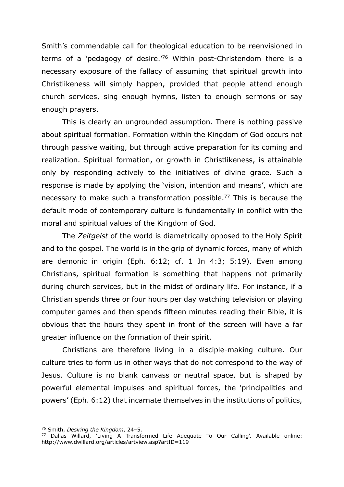Smith's commendable call for theological education to be reenvisioned in terms of a 'pedagogy of desire.'76 Within post-Christendom there is a necessary exposure of the fallacy of assuming that spiritual growth into Christlikeness will simply happen, provided that people attend enough church services, sing enough hymns, listen to enough sermons or say enough prayers.

This is clearly an ungrounded assumption. There is nothing passive about spiritual formation. Formation within the Kingdom of God occurs not through passive waiting, but through active preparation for its coming and realization. Spiritual formation, or growth in Christlikeness, is attainable only by responding actively to the initiatives of divine grace. Such a response is made by applying the 'vision, intention and means', which are necessary to make such a transformation possible.<sup>77</sup> This is because the default mode of contemporary culture is fundamentally in conflict with the moral and spiritual values of the Kingdom of God.

The *Zeitgeist* of the world is diametrically opposed to the Holy Spirit and to the gospel. The world is in the grip of dynamic forces, many of which are demonic in origin (Eph. 6:12; cf. 1 Jn 4:3; 5:19). Even among Christians, spiritual formation is something that happens not primarily during church services, but in the midst of ordinary life. For instance, if a Christian spends three or four hours per day watching television or playing computer games and then spends fifteen minutes reading their Bible, it is obvious that the hours they spent in front of the screen will have a far greater influence on the formation of their spirit.

Christians are therefore living in a disciple-making culture. Our culture tries to form us in other ways that do not correspond to the way of Jesus. Culture is no blank canvass or neutral space, but is shaped by powerful elemental impulses and spiritual forces, the 'principalities and powers' (Eph. 6:12) that incarnate themselves in the institutions of politics,

<sup>76</sup> Smith, *Desiring the Kingdom*, 24–5.

<sup>77</sup> Dallas Willard, 'Living A Transformed Life Adequate To Our Calling'. Available online: http://www.dwillard.org/articles/artview.asp?artID=119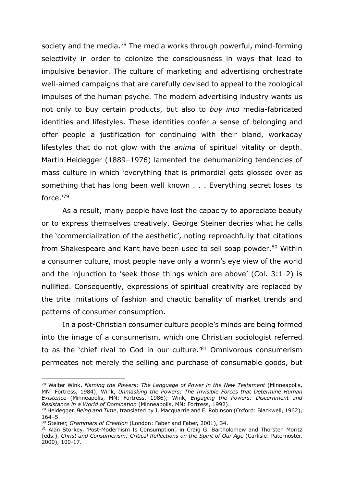society and the media.<sup>78</sup> The media works through powerful, mind-forming selectivity in order to colonize the consciousness in ways that lead to impulsive behavior. The culture of marketing and advertising orchestrate well-aimed campaigns that are carefully devised to appeal to the zoological impulses of the human psyche. The modern advertising industry wants us not only to buy certain products, but also to *buy into* media-fabricated identities and lifestyles. These identities confer a sense of belonging and offer people a justification for continuing with their bland, workaday lifestyles that do not glow with the *anima* of spiritual vitality or depth. Martin Heidegger (1889–1976) lamented the dehumanizing tendencies of mass culture in which 'everything that is primordial gets glossed over as something that has long been well known . . . Everything secret loses its force.'79

As a result, many people have lost the capacity to appreciate beauty or to express themselves creatively. George Steiner decries what he calls the 'commercialization of the aesthetic', noting reproachfully that citations from Shakespeare and Kant have been used to sell soap powder.<sup>80</sup> Within a consumer culture, most people have only a worm's eye view of the world and the injunction to 'seek those things which are above' (Col. 3:1-2) is nullified. Consequently, expressions of spiritual creativity are replaced by the trite imitations of fashion and chaotic banality of market trends and patterns of consumer consumption.

In a post-Christian consumer culture people's minds are being formed into the image of a consumerism, which one Christian sociologist referred to as the 'chief rival to God in our culture.'81 Omnivorous consumerism permeates not merely the selling and purchase of consumable goods, but

<sup>78</sup> Walter Wink, *Naming the Powers: The Language of Power in the New Testament* (Minneapolis, MN: Fortress, 1984); Wink, *Unmasking the Powers: The Invisible Forces that Determine Human Existence* (Minneapolis, MN: Fortress, 1986); Wink, *Engaging the Powers: Discernment and Resistance in a World of Domination* (Minneapolis, MN: Fortress, 1992).

<sup>79</sup> Heidegger, *Being and Time*, translated by J. Macquarrie and E. Robinson (Oxford: Blackwell, 1962), 164–5.

<sup>80</sup> Steiner, *Grammars of Creation* (London: Faber and Faber, 2001), 34.

<sup>81</sup> Alan Storkey, 'Post-Modernism Is Consumption', in Craig G. Bartholomew and Thorsten Moritz (eds.), *Christ and Consumerism: Critical Reflections on the Spirit of Our Age* (Carlisle: Paternoster, 2000), 100-17.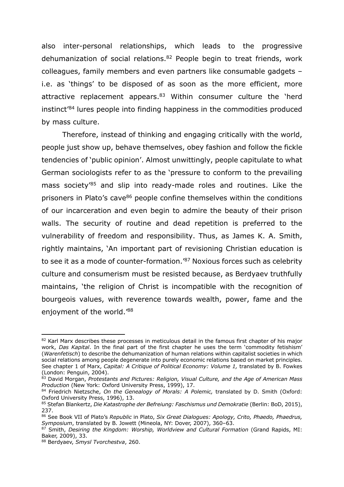also inter-personal relationships, which leads to the progressive dehumanization of social relations.82 People begin to treat friends, work colleagues, family members and even partners like consumable gadgets – i.e. as 'things' to be disposed of as soon as the more efficient, more attractive replacement appears. $83$  Within consumer culture the 'herd instinct'84 lures people into finding happiness in the commodities produced by mass culture.

Therefore, instead of thinking and engaging critically with the world, people just show up, behave themselves, obey fashion and follow the fickle tendencies of 'public opinion'. Almost unwittingly, people capitulate to what German sociologists refer to as the 'pressure to conform to the prevailing mass society'85 and slip into ready-made roles and routines. Like the prisoners in Plato's cave<sup>86</sup> people confine themselves within the conditions of our incarceration and even begin to admire the beauty of their prison walls. The security of routine and dead repetition is preferred to the vulnerability of freedom and responsibility. Thus, as James K. A. Smith, rightly maintains, 'An important part of revisioning Christian education is to see it as a mode of counter-formation.<sup>'87</sup> Noxious forces such as celebrity culture and consumerism must be resisted because, as Berdyaev truthfully maintains, 'the religion of Christ is incompatible with the recognition of bourgeois values, with reverence towards wealth, power, fame and the enjoyment of the world.'88

<sup>&</sup>lt;sup>82</sup> Karl Marx describes these processes in meticulous detail in the famous first chapter of his major work, *Das Kapital*. In the final part of the first chapter he uses the term 'commodity fetishism' (*Warenfetisch*) to describe the dehumanization of human relations within capitalist societies in which social relations among people degenerate into purely economic relations based on market principles. See chapter 1 of Marx, *Capital: A Critique of Political Economy: Volume 1*, translated by B. Fowkes (London: Penguin, 2004).

<sup>83</sup> David Morgan, *Protestants and Pictures: Religion, Visual Culture, and the Age of American Mass Production* (New York: Oxford University Press, 1999), 17.

<sup>84</sup> Friedrich Nietzsche, *On the Genealogy of Morals: A Polemic,* translated by D. Smith (Oxford: Oxford University Press, 1996), 13.

<sup>85</sup> Stefan Blankertz, *Die Katastrophe der Befreiung: Faschismus und Demokratie* (Berlin: BoD, 2015), 237.

<sup>86</sup> See Book VII of Plato's *Republic* in Plato, *Six Great Dialogues: Apology, Crito, Phaedo, Phaedrus, Symposium*, translated by B. Jowett (Mineola, NY: Dover, 2007), 360–63.

<sup>87</sup> Smith, *Desiring the Kingdom: Worship, Worldview and Cultural Formation* (Grand Rapids, MI: Baker, 2009), 33.

<sup>88</sup> Berdyaev, *Smysl Tvorchestva*, 260.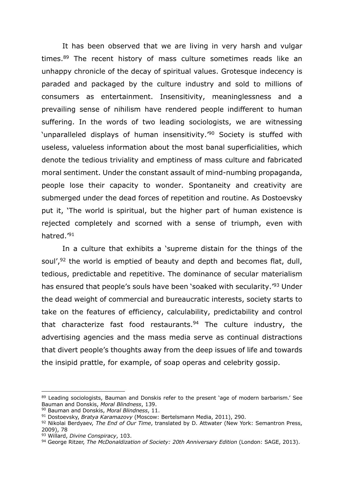It has been observed that we are living in very harsh and vulgar times.<sup>89</sup> The recent history of mass culture sometimes reads like an unhappy chronicle of the decay of spiritual values. Grotesque indecency is paraded and packaged by the culture industry and sold to millions of consumers as entertainment. Insensitivity, meaninglessness and a prevailing sense of nihilism have rendered people indifferent to human suffering. In the words of two leading sociologists, we are witnessing 'unparalleled displays of human insensitivity.<sup>'90</sup> Society is stuffed with useless, valueless information about the most banal superficialities, which denote the tedious triviality and emptiness of mass culture and fabricated moral sentiment. Under the constant assault of mind-numbing propaganda, people lose their capacity to wonder. Spontaneity and creativity are submerged under the dead forces of repetition and routine. As Dostoevsky put it, 'The world is spiritual, but the higher part of human existence is rejected completely and scorned with a sense of triumph, even with hatred.'91

In a culture that exhibits a 'supreme distain for the things of the soul', $92$  the world is emptied of beauty and depth and becomes flat, dull, tedious, predictable and repetitive. The dominance of secular materialism has ensured that people's souls have been 'soaked with secularity.'93 Under the dead weight of commercial and bureaucratic interests, society starts to take on the features of efficiency, calculability, predictability and control that characterize fast food restaurants.<sup>94</sup> The culture industry, the advertising agencies and the mass media serve as continual distractions that divert people's thoughts away from the deep issues of life and towards the insipid prattle, for example, of soap operas and celebrity gossip.

<sup>89</sup> Leading sociologists, Bauman and Donskis refer to the present 'age of modern barbarism.' See Bauman and Donskis, *Moral Blindness*, 139.

<sup>90</sup> Bauman and Donskis, *Moral Blindness*, 11.

<sup>91</sup> Dostoevsky, *Bratya Karamazovy* (Moscow: Bertelsmann Media, 2011), 290.

<sup>92</sup> Nikolai Berdyaev, *The End of Our Time*, translated by D. Attwater (New York: Semantron Press, 2009), 78

<sup>93</sup> Willard, *Divine Conspiracy*, 103.

<sup>94</sup> George Ritzer, *The McDonaldization of Society: 20th Anniversary Edition* (London: SAGE, 2013).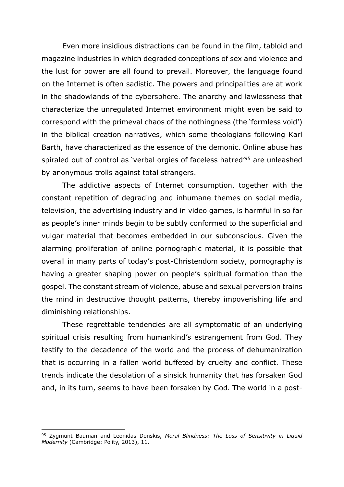Even more insidious distractions can be found in the film, tabloid and magazine industries in which degraded conceptions of sex and violence and the lust for power are all found to prevail. Moreover, the language found on the Internet is often sadistic. The powers and principalities are at work in the shadowlands of the cybersphere. The anarchy and lawlessness that characterize the unregulated Internet environment might even be said to correspond with the primeval chaos of the nothingness (the 'formless void') in the biblical creation narratives, which some theologians following Karl Barth, have characterized as the essence of the demonic. Online abuse has spiraled out of control as 'verbal orgies of faceless hatred'95 are unleashed by anonymous trolls against total strangers.

The addictive aspects of Internet consumption, together with the constant repetition of degrading and inhumane themes on social media, television, the advertising industry and in video games, is harmful in so far as people's inner minds begin to be subtly conformed to the superficial and vulgar material that becomes embedded in our subconscious. Given the alarming proliferation of online pornographic material, it is possible that overall in many parts of today's post-Christendom society, pornography is having a greater shaping power on people's spiritual formation than the gospel. The constant stream of violence, abuse and sexual perversion trains the mind in destructive thought patterns, thereby impoverishing life and diminishing relationships.

These regrettable tendencies are all symptomatic of an underlying spiritual crisis resulting from humankind's estrangement from God. They testify to the decadence of the world and the process of dehumanization that is occurring in a fallen world buffeted by cruelty and conflict. These trends indicate the desolation of a sinsick humanity that has forsaken God and, in its turn, seems to have been forsaken by God. The world in a post-

<sup>95</sup> Zygmunt Bauman and Leonidas Donskis, *Moral Blindness: The Loss of Sensitivity in Liquid Modernity* (Cambridge: Polity, 2013), 11.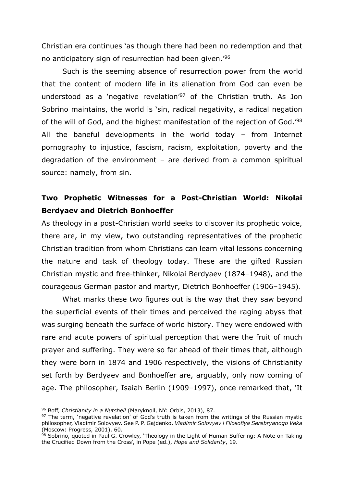Christian era continues 'as though there had been no redemption and that no anticipatory sign of resurrection had been given.'96

Such is the seeming absence of resurrection power from the world that the content of modern life in its alienation from God can even be understood as a 'negative revelation'97 of the Christian truth. As Jon Sobrino maintains, the world is 'sin, radical negativity, a radical negation of the will of God, and the highest manifestation of the rejection of God.'98 All the baneful developments in the world today – from Internet pornography to injustice, fascism, racism, exploitation, poverty and the degradation of the environment – are derived from a common spiritual source: namely, from sin.

#### **Two Prophetic Witnesses for a Post-Christian World: Nikolai Berdyaev and Dietrich Bonhoeffer**

As theology in a post-Christian world seeks to discover its prophetic voice, there are, in my view, two outstanding representatives of the prophetic Christian tradition from whom Christians can learn vital lessons concerning the nature and task of theology today. These are the gifted Russian Christian mystic and free-thinker, Nikolai Berdyaev (1874–1948), and the courageous German pastor and martyr, Dietrich Bonhoeffer (1906–1945).

What marks these two figures out is the way that they saw beyond the superficial events of their times and perceived the raging abyss that was surging beneath the surface of world history. They were endowed with rare and acute powers of spiritual perception that were the fruit of much prayer and suffering. They were so far ahead of their times that, although they were born in 1874 and 1906 respectively, the visions of Christianity set forth by Berdyaev and Bonhoeffer are, arguably, only now coming of age. The philosopher, Isaiah Berlin (1909–1997), once remarked that, 'It

<sup>96</sup> Boff, *Christianity in a Nutshell* (Maryknoll, NY: Orbis, 2013), 87.

<sup>&</sup>lt;sup>97</sup> The term, 'negative revelation' of God's truth is taken from the writings of the Russian mystic philosopher, Vladimir Solovyev. See P. P. Gajdenko, *Vladimir Solovyev i Filosofiya Serebryanogo Veka* (Moscow: Progress, 2001), 60.

<sup>98</sup> Sobrino, quoted in Paul G. Crowley, 'Theology in the Light of Human Suffering: A Note on Taking the Crucified Down from the Cross', in Pope (ed.), *Hope and Solidarity*, 19.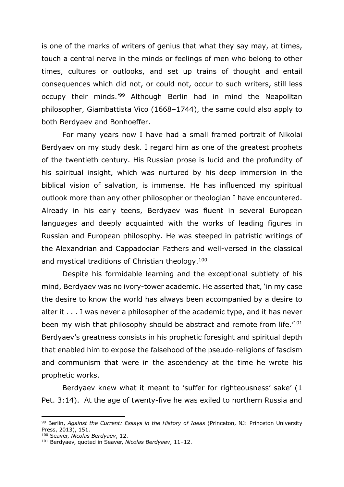is one of the marks of writers of genius that what they say may, at times, touch a central nerve in the minds or feelings of men who belong to other times, cultures or outlooks, and set up trains of thought and entail consequences which did not, or could not, occur to such writers, still less occupy their minds.'99 Although Berlin had in mind the Neapolitan philosopher, Giambattista Vico (1668–1744), the same could also apply to both Berdyaev and Bonhoeffer.

For many years now I have had a small framed portrait of Nikolai Berdyaev on my study desk. I regard him as one of the greatest prophets of the twentieth century. His Russian prose is lucid and the profundity of his spiritual insight, which was nurtured by his deep immersion in the biblical vision of salvation, is immense. He has influenced my spiritual outlook more than any other philosopher or theologian I have encountered. Already in his early teens, Berdyaev was fluent in several European languages and deeply acquainted with the works of leading figures in Russian and European philosophy. He was steeped in patristic writings of the Alexandrian and Cappadocian Fathers and well-versed in the classical and mystical traditions of Christian theology.100

Despite his formidable learning and the exceptional subtlety of his mind, Berdyaev was no ivory-tower academic. He asserted that, 'in my case the desire to know the world has always been accompanied by a desire to alter it . . . I was never a philosopher of the academic type, and it has never been my wish that philosophy should be abstract and remote from life.<sup>'101</sup> Berdyaev's greatness consists in his prophetic foresight and spiritual depth that enabled him to expose the falsehood of the pseudo-religions of fascism and communism that were in the ascendency at the time he wrote his prophetic works.

Berdyaev knew what it meant to 'suffer for righteousness' sake' (1 Pet. 3:14). At the age of twenty-five he was exiled to northern Russia and

<sup>99</sup> Berlin, *Against the Current: Essays in the History of Ideas* (Princeton, NJ: Princeton University Press, 2013), 151.

<sup>100</sup> Seaver, *Nicolas Berdyaev*, 12.

<sup>101</sup> Berdyaev, quoted in Seaver, *Nicolas Berdyaev*, 11–12.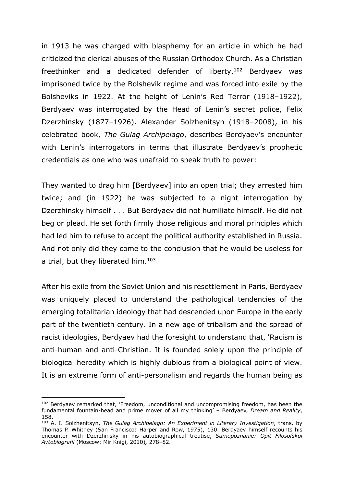in 1913 he was charged with blasphemy for an article in which he had criticized the clerical abuses of the Russian Orthodox Church. As a Christian freethinker and a dedicated defender of liberty,  $102$  Berdyaev was imprisoned twice by the Bolshevik regime and was forced into exile by the Bolsheviks in 1922. At the height of Lenin's Red Terror (1918–1922), Berdyaev was interrogated by the Head of Lenin's secret police, Felix Dzerzhinsky (1877–1926). Alexander Solzhenitsyn (1918–2008), in his celebrated book, *The Gulag Archipelago*, describes Berdyaev's encounter with Lenin's interrogators in terms that illustrate Berdyaev's prophetic credentials as one who was unafraid to speak truth to power:

They wanted to drag him [Berdyaev] into an open trial; they arrested him twice; and (in 1922) he was subjected to a night interrogation by Dzerzhinsky himself . . . But Berdyaev did not humiliate himself. He did not beg or plead. He set forth firmly those religious and moral principles which had led him to refuse to accept the political authority established in Russia. And not only did they come to the conclusion that he would be useless for a trial, but they liberated him.<sup>103</sup>

After his exile from the Soviet Union and his resettlement in Paris, Berdyaev was uniquely placed to understand the pathological tendencies of the emerging totalitarian ideology that had descended upon Europe in the early part of the twentieth century. In a new age of tribalism and the spread of racist ideologies, Berdyaev had the foresight to understand that, 'Racism is anti-human and anti-Christian. It is founded solely upon the principle of biological heredity which is highly dubious from a biological point of view. It is an extreme form of anti-personalism and regards the human being as

 $102$  Berdyaev remarked that, 'Freedom, unconditional and uncompromising freedom, has been the fundamental fountain-head and prime mover of all my thinking' – Berdyaev, *Dream and Reality*, 158.

<sup>103</sup> A. I. Solzhenitsyn, *The Gulag Archipelago: An Experiment in Literary Investigation*, trans. by Thomas P. Whitney (San Francisco: Harper and Row, 1975), 130. Berdyaev himself recounts his encounter with Dzerzhinsky in his autobiographical treatise, *Samopoznanie: Opit Filosofskoi Avtobiografii* (Moscow: Mir Knigi, 2010)*,* 278–82.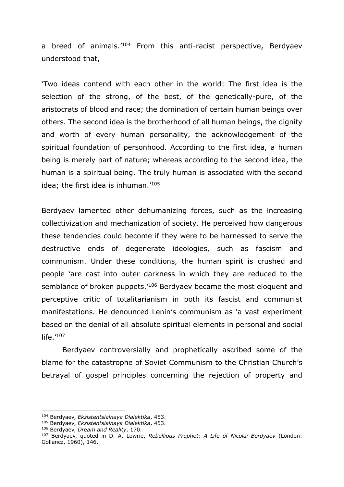a breed of animals.'104 From this anti-racist perspective, Berdyaev understood that,

'Two ideas contend with each other in the world: The first idea is the selection of the strong, of the best, of the genetically-pure, of the aristocrats of blood and race; the domination of certain human beings over others. The second idea is the brotherhood of all human beings, the dignity and worth of every human personality, the acknowledgement of the spiritual foundation of personhood. According to the first idea, a human being is merely part of nature; whereas according to the second idea, the human is a spiritual being. The truly human is associated with the second idea; the first idea is inhuman.'105

Berdyaev lamented other dehumanizing forces, such as the increasing collectivization and mechanization of society. He perceived how dangerous these tendencies could become if they were to be harnessed to serve the destructive ends of degenerate ideologies, such as fascism and communism. Under these conditions, the human spirit is crushed and people 'are cast into outer darkness in which they are reduced to the semblance of broken puppets.<sup>'106</sup> Berdyaev became the most eloquent and perceptive critic of totalitarianism in both its fascist and communist manifestations. He denounced Lenin's communism as 'a vast experiment based on the denial of all absolute spiritual elements in personal and social  $l$ ife. $^{\prime}$ <sup>107</sup>

Berdyaev controversially and prophetically ascribed some of the blame for the catastrophe of Soviet Communism to the Christian Church's betrayal of gospel principles concerning the rejection of property and

<sup>104</sup> Berdyaev, *Ekzistentsialnaya Dialektika*, 453.

<sup>105</sup> Berdyaev, *Ekzistentsialnaya Dialektika*, 453.

<sup>106</sup> Berdyaev, *Dream and Reality*, 170.

<sup>107</sup> Berdyaev, quoted in D. A. Lowrie, *Rebellious Prophet: A Life of Nicolai Berdyaev* (London: Gollancz, 1960), 146.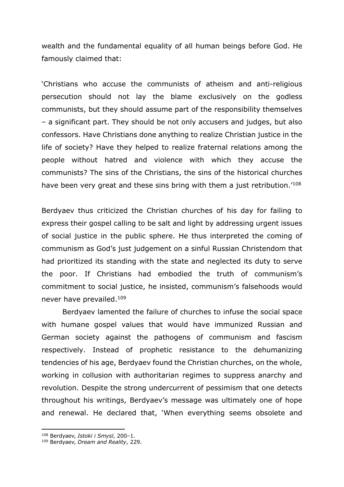wealth and the fundamental equality of all human beings before God. He famously claimed that:

'Christians who accuse the communists of atheism and anti-religious persecution should not lay the blame exclusively on the godless communists, but they should assume part of the responsibility themselves – a significant part. They should be not only accusers and judges, but also confessors. Have Christians done anything to realize Christian justice in the life of society? Have they helped to realize fraternal relations among the people without hatred and violence with which they accuse the communists? The sins of the Christians, the sins of the historical churches have been very great and these sins bring with them a just retribution.<sup>'108</sup>

Berdyaev thus criticized the Christian churches of his day for failing to express their gospel calling to be salt and light by addressing urgent issues of social justice in the public sphere. He thus interpreted the coming of communism as God's just judgement on a sinful Russian Christendom that had prioritized its standing with the state and neglected its duty to serve the poor. If Christians had embodied the truth of communism's commitment to social justice, he insisted, communism's falsehoods would never have prevailed.109

Berdyaev lamented the failure of churches to infuse the social space with humane gospel values that would have immunized Russian and German society against the pathogens of communism and fascism respectively. Instead of prophetic resistance to the dehumanizing tendencies of his age, Berdyaev found the Christian churches, on the whole, working in collusion with authoritarian regimes to suppress anarchy and revolution. Despite the strong undercurrent of pessimism that one detects throughout his writings, Berdyaev's message was ultimately one of hope and renewal. He declared that, 'When everything seems obsolete and

<sup>108</sup> Berdyaev, *Istoki i Smysl*, 200–1.

<sup>109</sup> Berdyaev, *Dream and Reality*, 229.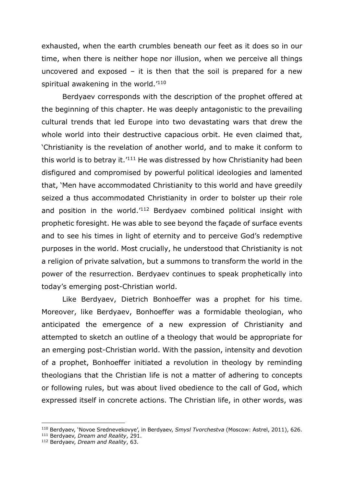exhausted, when the earth crumbles beneath our feet as it does so in our time, when there is neither hope nor illusion, when we perceive all things uncovered and exposed  $-$  it is then that the soil is prepared for a new spiritual awakening in the world.<sup>'110</sup>

Berdyaev corresponds with the description of the prophet offered at the beginning of this chapter. He was deeply antagonistic to the prevailing cultural trends that led Europe into two devastating wars that drew the whole world into their destructive capacious orbit. He even claimed that, 'Christianity is the revelation of another world, and to make it conform to this world is to betray it.<sup>'111</sup> He was distressed by how Christianity had been disfigured and compromised by powerful political ideologies and lamented that, 'Men have accommodated Christianity to this world and have greedily seized a thus accommodated Christianity in order to bolster up their role and position in the world.<sup>'112</sup> Berdyaev combined political insight with prophetic foresight. He was able to see beyond the façade of surface events and to see his times in light of eternity and to perceive God's redemptive purposes in the world. Most crucially, he understood that Christianity is not a religion of private salvation, but a summons to transform the world in the power of the resurrection. Berdyaev continues to speak prophetically into today's emerging post-Christian world.

Like Berdyaev, Dietrich Bonhoeffer was a prophet for his time. Moreover, like Berdyaev, Bonhoeffer was a formidable theologian, who anticipated the emergence of a new expression of Christianity and attempted to sketch an outline of a theology that would be appropriate for an emerging post-Christian world. With the passion, intensity and devotion of a prophet, Bonhoeffer initiated a revolution in theology by reminding theologians that the Christian life is not a matter of adhering to concepts or following rules, but was about lived obedience to the call of God, which expressed itself in concrete actions. The Christian life, in other words, was

<sup>&</sup>lt;sup>110</sup> Berdyaev, 'Novoe Srednevekovye', in Berdyaev, *Smysl Tvorchestva* (Moscow: Astrel, 2011), 626. <sup>111</sup> Berdyaev, *Dream and Reality*, 291.

<sup>112</sup> Berdyaev, *Dream and Reality*, 63.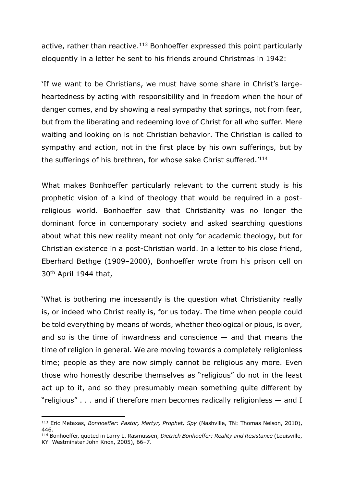active, rather than reactive.<sup>113</sup> Bonhoeffer expressed this point particularly eloquently in a letter he sent to his friends around Christmas in 1942:

'If we want to be Christians, we must have some share in Christ's largeheartedness by acting with responsibility and in freedom when the hour of danger comes, and by showing a real sympathy that springs, not from fear, but from the liberating and redeeming love of Christ for all who suffer. Mere waiting and looking on is not Christian behavior. The Christian is called to sympathy and action, not in the first place by his own sufferings, but by the sufferings of his brethren, for whose sake Christ suffered.<sup>'114</sup>

What makes Bonhoeffer particularly relevant to the current study is his prophetic vision of a kind of theology that would be required in a postreligious world. Bonhoeffer saw that Christianity was no longer the dominant force in contemporary society and asked searching questions about what this new reality meant not only for academic theology, but for Christian existence in a post-Christian world. In a letter to his close friend, Eberhard Bethge (1909–2000), Bonhoeffer wrote from his prison cell on 30th April 1944 that,

'What is bothering me incessantly is the question what Christianity really is, or indeed who Christ really is, for us today. The time when people could be told everything by means of words, whether theological or pious, is over, and so is the time of inwardness and conscience  $-$  and that means the time of religion in general. We are moving towards a completely religionless time; people as they are now simply cannot be religious any more. Even those who honestly describe themselves as "religious" do not in the least act up to it, and so they presumably mean something quite different by "religious" . . . and if therefore man becomes radically religionless — and I

<sup>113</sup> Eric Metaxas, *Bonhoeffer: Pastor, Martyr, Prophet, Spy* (Nashville, TN: Thomas Nelson, 2010), 446.

<sup>114</sup> Bonhoeffer, quoted in Larry L. Rasmussen, *Dietrich Bonhoeffer: Reality and Resistance* (Louisville, KY: Westminster John Knox, 2005), 66–7.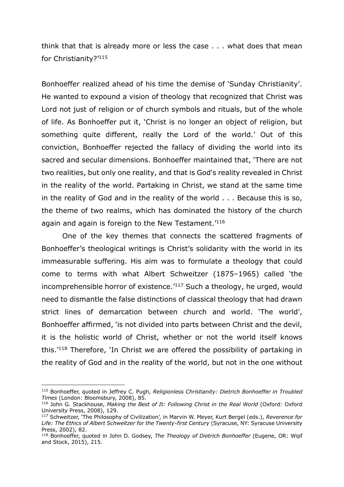think that that is already more or less the case . . . what does that mean for Christianity?'115

Bonhoeffer realized ahead of his time the demise of 'Sunday Christianity'. He wanted to expound a vision of theology that recognized that Christ was Lord not just of religion or of church symbols and rituals, but of the whole of life. As Bonhoeffer put it, 'Christ is no longer an object of religion, but something quite different, really the Lord of the world.' Out of this conviction, Bonhoeffer rejected the fallacy of dividing the world into its sacred and secular dimensions. Bonhoeffer maintained that, 'There are not two realities, but only one reality, and that is God's reality revealed in Christ in the reality of the world. Partaking in Christ, we stand at the same time in the reality of God and in the reality of the world . . . Because this is so, the theme of two realms, which has dominated the history of the church again and again is foreign to the New Testament.<sup>'116</sup>

One of the key themes that connects the scattered fragments of Bonhoeffer's theological writings is Christ's solidarity with the world in its immeasurable suffering. His aim was to formulate a theology that could come to terms with what Albert Schweitzer (1875–1965) called 'the incomprehensible horror of existence.<sup>'117</sup> Such a theology, he urged, would need to dismantle the false distinctions of classical theology that had drawn strict lines of demarcation between church and world. 'The world', Bonhoeffer affirmed, 'is not divided into parts between Christ and the devil, it is the holistic world of Christ, whether or not the world itself knows this.'118 Therefore, 'In Christ we are offered the possibility of partaking in the reality of God and in the reality of the world, but not in the one without

<sup>115</sup> Bonhoeffer, quoted in Jeffrey C. Pugh, *Religionless Christianity: Dietrich Bonhoeffer in Troubled Times* (London: Bloomsbury, 2008), 85.

<sup>&</sup>lt;sup>116</sup> John G. Stackhouse, *Making the Best of It: Following Christ in the Real World (Oxford: Oxford*) University Press, 2008), 129.

<sup>117</sup> Schweitzer, 'The Philosophy of Civilization', in Marvin W. Meyer, Kurt Bergel (eds.), *Reverence for*  Life: The Ethics of Albert Schweitzer for the Twenty-first Century (Syracuse, NY: Syracuse University Press, 2002), 82.

<sup>118</sup> Bonhoeffer, quoted in John D. Godsey, *The Theology of Dietrich Bonhoeffer* (Eugene, OR: Wipf and Stock, 2015), 215.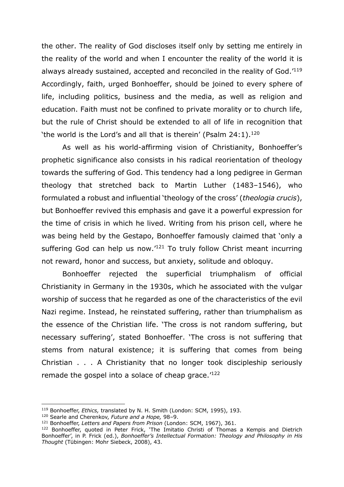the other. The reality of God discloses itself only by setting me entirely in the reality of the world and when I encounter the reality of the world it is always already sustained, accepted and reconciled in the reality of God.'119 Accordingly, faith, urged Bonhoeffer, should be joined to every sphere of life, including politics, business and the media, as well as religion and education. Faith must not be confined to private morality or to church life, but the rule of Christ should be extended to all of life in recognition that 'the world is the Lord's and all that is therein' (Psalm  $24:1$ ).<sup>120</sup>

As well as his world-affirming vision of Christianity, Bonhoeffer's prophetic significance also consists in his radical reorientation of theology towards the suffering of God. This tendency had a long pedigree in German theology that stretched back to Martin Luther (1483–1546), who formulated a robust and influential 'theology of the cross' (*theologia crucis*), but Bonhoeffer revived this emphasis and gave it a powerful expression for the time of crisis in which he lived. Writing from his prison cell, where he was being held by the Gestapo, Bonhoeffer famously claimed that 'only a suffering God can help us now.<sup>'121</sup> To truly follow Christ meant incurring not reward, honor and success, but anxiety, solitude and obloquy.

Bonhoeffer rejected the superficial triumphalism of official Christianity in Germany in the 1930s, which he associated with the vulgar worship of success that he regarded as one of the characteristics of the evil Nazi regime. Instead, he reinstated suffering, rather than triumphalism as the essence of the Christian life. 'The cross is not random suffering, but necessary suffering', stated Bonhoeffer. 'The cross is not suffering that stems from natural existence; it is suffering that comes from being Christian . . . A Christianity that no longer took discipleship seriously remade the gospel into a solace of cheap grace.<sup>'122</sup>

<sup>119</sup> Bonhoeffer, *Ethics,* translated by N. H. Smith (London: SCM, 1995), 193.

<sup>120</sup> Searle and Cherenkov, *Future and a Hope,* 98–9.

<sup>121</sup> Bonhoeffer, *Letters and Papers from Prison* (London: SCM, 1967), 361.

<sup>&</sup>lt;sup>122</sup> Bonhoeffer, quoted in Peter Frick, 'The Imitatio Christi of Thomas a Kempis and Dietrich Bonhoeffer', in P. Frick (ed.), *Bonhoeffer's Intellectual Formation: Theology and Philosophy in His Thought* (Tübingen: Mohr Siebeck, 2008), 43.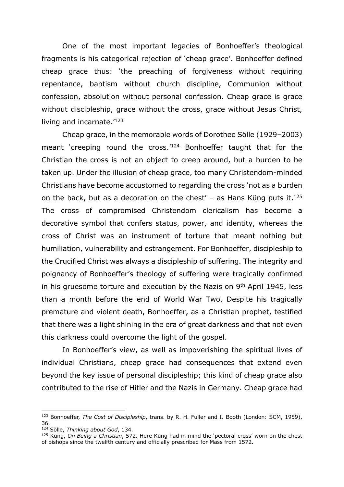One of the most important legacies of Bonhoeffer's theological fragments is his categorical rejection of 'cheap grace'. Bonhoeffer defined cheap grace thus: 'the preaching of forgiveness without requiring repentance, baptism without church discipline, Communion without confession, absolution without personal confession. Cheap grace is grace without discipleship, grace without the cross, grace without Jesus Christ, living and incarnate.<sup>'123</sup>

Cheap grace, in the memorable words of Dorothee Sölle (1929–2003) meant 'creeping round the cross.<sup>'124</sup> Bonhoeffer taught that for the Christian the cross is not an object to creep around, but a burden to be taken up. Under the illusion of cheap grace, too many Christendom-minded Christians have become accustomed to regarding the cross 'not as a burden on the back, but as a decoration on the chest' – as Hans Küng puts it.<sup>125</sup> The cross of compromised Christendom clericalism has become a decorative symbol that confers status, power, and identity, whereas the cross of Christ was an instrument of torture that meant nothing but humiliation, vulnerability and estrangement. For Bonhoeffer, discipleship to the Crucified Christ was always a discipleship of suffering. The integrity and poignancy of Bonhoeffer's theology of suffering were tragically confirmed in his gruesome torture and execution by the Nazis on  $9<sup>th</sup>$  April 1945, less than a month before the end of World War Two. Despite his tragically premature and violent death, Bonhoeffer, as a Christian prophet, testified that there was a light shining in the era of great darkness and that not even this darkness could overcome the light of the gospel.

In Bonhoeffer's view, as well as impoverishing the spiritual lives of individual Christians, cheap grace had consequences that extend even beyond the key issue of personal discipleship; this kind of cheap grace also contributed to the rise of Hitler and the Nazis in Germany. Cheap grace had

<sup>123</sup> Bonhoeffer, *The Cost of Discipleship*, trans. by R. H. Fuller and I. Booth (London: SCM, 1959), 36.

<sup>124</sup> Sölle, *Thinking about God*, 134.

<sup>125</sup> Küng, *On Being a Christian*, 572. Here Küng had in mind the 'pectoral cross' worn on the chest of bishops since the twelfth century and officially prescribed for Mass from 1572.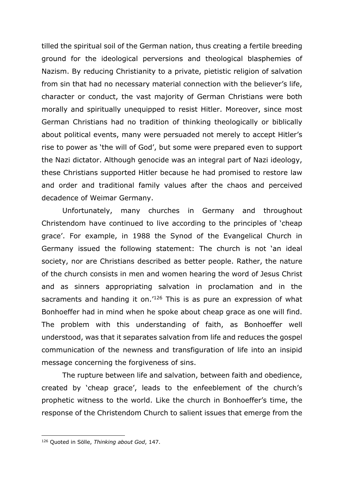tilled the spiritual soil of the German nation, thus creating a fertile breeding ground for the ideological perversions and theological blasphemies of Nazism. By reducing Christianity to a private, pietistic religion of salvation from sin that had no necessary material connection with the believer's life, character or conduct, the vast majority of German Christians were both morally and spiritually unequipped to resist Hitler. Moreover, since most German Christians had no tradition of thinking theologically or biblically about political events, many were persuaded not merely to accept Hitler's rise to power as 'the will of God', but some were prepared even to support the Nazi dictator. Although genocide was an integral part of Nazi ideology, these Christians supported Hitler because he had promised to restore law and order and traditional family values after the chaos and perceived decadence of Weimar Germany.

Unfortunately, many churches in Germany and throughout Christendom have continued to live according to the principles of 'cheap grace'. For example, in 1988 the Synod of the Evangelical Church in Germany issued the following statement: The church is not 'an ideal society, nor are Christians described as better people. Rather, the nature of the church consists in men and women hearing the word of Jesus Christ and as sinners appropriating salvation in proclamation and in the sacraments and handing it on.<sup>'126</sup> This is as pure an expression of what Bonhoeffer had in mind when he spoke about cheap grace as one will find. The problem with this understanding of faith, as Bonhoeffer well understood, was that it separates salvation from life and reduces the gospel communication of the newness and transfiguration of life into an insipid message concerning the forgiveness of sins.

The rupture between life and salvation, between faith and obedience, created by 'cheap grace', leads to the enfeeblement of the church's prophetic witness to the world. Like the church in Bonhoeffer's time, the response of the Christendom Church to salient issues that emerge from the

<sup>126</sup> Quoted in Sölle, *Thinking about God*, 147.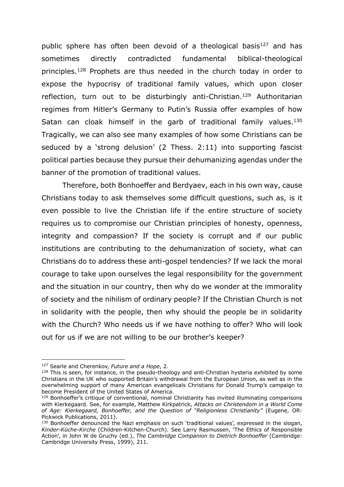public sphere has often been devoid of a theological basis<sup>127</sup> and has sometimes directly contradicted fundamental biblical-theological principles.128 Prophets are thus needed in the church today in order to expose the hypocrisy of traditional family values, which upon closer reflection, turn out to be disturbingly anti-Christian.<sup>129</sup> Authoritarian regimes from Hitler's Germany to Putin's Russia offer examples of how Satan can cloak himself in the garb of traditional family values.<sup>130</sup> Tragically, we can also see many examples of how some Christians can be seduced by a 'strong delusion' (2 Thess. 2:11) into supporting fascist political parties because they pursue their dehumanizing agendas under the banner of the promotion of traditional values.

Therefore, both Bonhoeffer and Berdyaev, each in his own way, cause Christians today to ask themselves some difficult questions, such as, is it even possible to live the Christian life if the entire structure of society requires us to compromise our Christian principles of honesty, openness, integrity and compassion? If the society is corrupt and if our public institutions are contributing to the dehumanization of society, what can Christians do to address these anti-gospel tendencies? If we lack the moral courage to take upon ourselves the legal responsibility for the government and the situation in our country, then why do we wonder at the immorality of society and the nihilism of ordinary people? If the Christian Church is not in solidarity with the people, then why should the people be in solidarity with the Church? Who needs us if we have nothing to offer? Who will look out for us if we are not willing to be our brother's keeper?

<sup>127</sup> Searle and Cherenkov, *Future and a Hope*, 2.

 $128$  This is seen, for instance, in the pseudo-theology and anti-Christian hysteria exhibited by some Christians in the UK who supported Britain's withdrawal from the European Union, as well as in the overwhelming support of many American evangelicals Christians for Donald Trump's campaign to become President of the United States of America.

<sup>129</sup> Bonhoeffer's critique of conventional, nominal Christianity has invited illuminating comparisons with Kierkegaard. See, for example, Matthew Kirkpatrick, *Attacks on Christendom in a World Come of Age: Kierkegaard, Bonhoeffer, and the Question of "Religionless Christianity"* (Eugene, OR: Pickwick Publications, 2011).

<sup>&</sup>lt;sup>130</sup> Bonhoeffer denounced the Nazi emphasis on such 'traditional values', expressed in the slogan, *Kinder-Küche-Kirche* (Children-Kitchen-Church). See Larry Rasmussen, 'The Ethics of Responsible Action', in John W de Gruchy (ed.), *The Cambridge Companion to Dietrich Bonhoeffer* (Cambridge: Cambridge University Press, 1999), 211.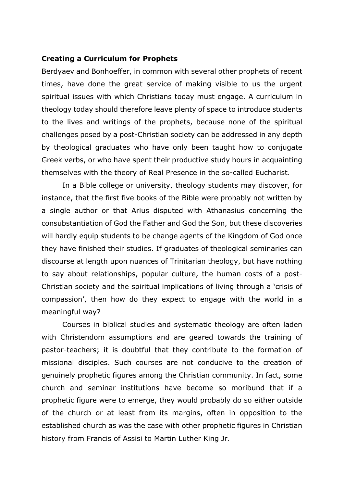#### **Creating a Curriculum for Prophets**

Berdyaev and Bonhoeffer, in common with several other prophets of recent times, have done the great service of making visible to us the urgent spiritual issues with which Christians today must engage. A curriculum in theology today should therefore leave plenty of space to introduce students to the lives and writings of the prophets, because none of the spiritual challenges posed by a post-Christian society can be addressed in any depth by theological graduates who have only been taught how to conjugate Greek verbs, or who have spent their productive study hours in acquainting themselves with the theory of Real Presence in the so-called Eucharist.

In a Bible college or university, theology students may discover, for instance, that the first five books of the Bible were probably not written by a single author or that Arius disputed with Athanasius concerning the consubstantiation of God the Father and God the Son, but these discoveries will hardly equip students to be change agents of the Kingdom of God once they have finished their studies. If graduates of theological seminaries can discourse at length upon nuances of Trinitarian theology, but have nothing to say about relationships, popular culture, the human costs of a post-Christian society and the spiritual implications of living through a 'crisis of compassion', then how do they expect to engage with the world in a meaningful way?

Courses in biblical studies and systematic theology are often laden with Christendom assumptions and are geared towards the training of pastor-teachers; it is doubtful that they contribute to the formation of missional disciples. Such courses are not conducive to the creation of genuinely prophetic figures among the Christian community. In fact, some church and seminar institutions have become so moribund that if a prophetic figure were to emerge, they would probably do so either outside of the church or at least from its margins, often in opposition to the established church as was the case with other prophetic figures in Christian history from Francis of Assisi to Martin Luther King Jr.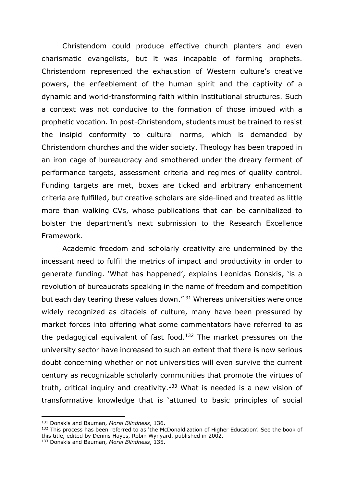Christendom could produce effective church planters and even charismatic evangelists, but it was incapable of forming prophets. Christendom represented the exhaustion of Western culture's creative powers, the enfeeblement of the human spirit and the captivity of a dynamic and world-transforming faith within institutional structures. Such a context was not conducive to the formation of those imbued with a prophetic vocation. In post-Christendom, students must be trained to resist the insipid conformity to cultural norms, which is demanded by Christendom churches and the wider society. Theology has been trapped in an iron cage of bureaucracy and smothered under the dreary ferment of performance targets, assessment criteria and regimes of quality control. Funding targets are met, boxes are ticked and arbitrary enhancement criteria are fulfilled, but creative scholars are side-lined and treated as little more than walking CVs, whose publications that can be cannibalized to bolster the department's next submission to the Research Excellence Framework.

Academic freedom and scholarly creativity are undermined by the incessant need to fulfil the metrics of impact and productivity in order to generate funding. 'What has happened', explains Leonidas Donskis, 'is a revolution of bureaucrats speaking in the name of freedom and competition but each day tearing these values down.'131 Whereas universities were once widely recognized as citadels of culture, many have been pressured by market forces into offering what some commentators have referred to as the pedagogical equivalent of fast food.<sup>132</sup> The market pressures on the university sector have increased to such an extent that there is now serious doubt concerning whether or not universities will even survive the current century as recognizable scholarly communities that promote the virtues of truth, critical inquiry and creativity.<sup>133</sup> What is needed is a new vision of transformative knowledge that is 'attuned to basic principles of social

<sup>131</sup> Donskis and Bauman, *Moral Blindness*, 136.

<sup>132</sup> This process has been referred to as 'the McDonaldization of Higher Education'. See the book of this title, edited by Dennis Hayes, Robin Wynyard, published in 2002. <sup>133</sup> Donskis and Bauman, *Moral Blindness*, 135.